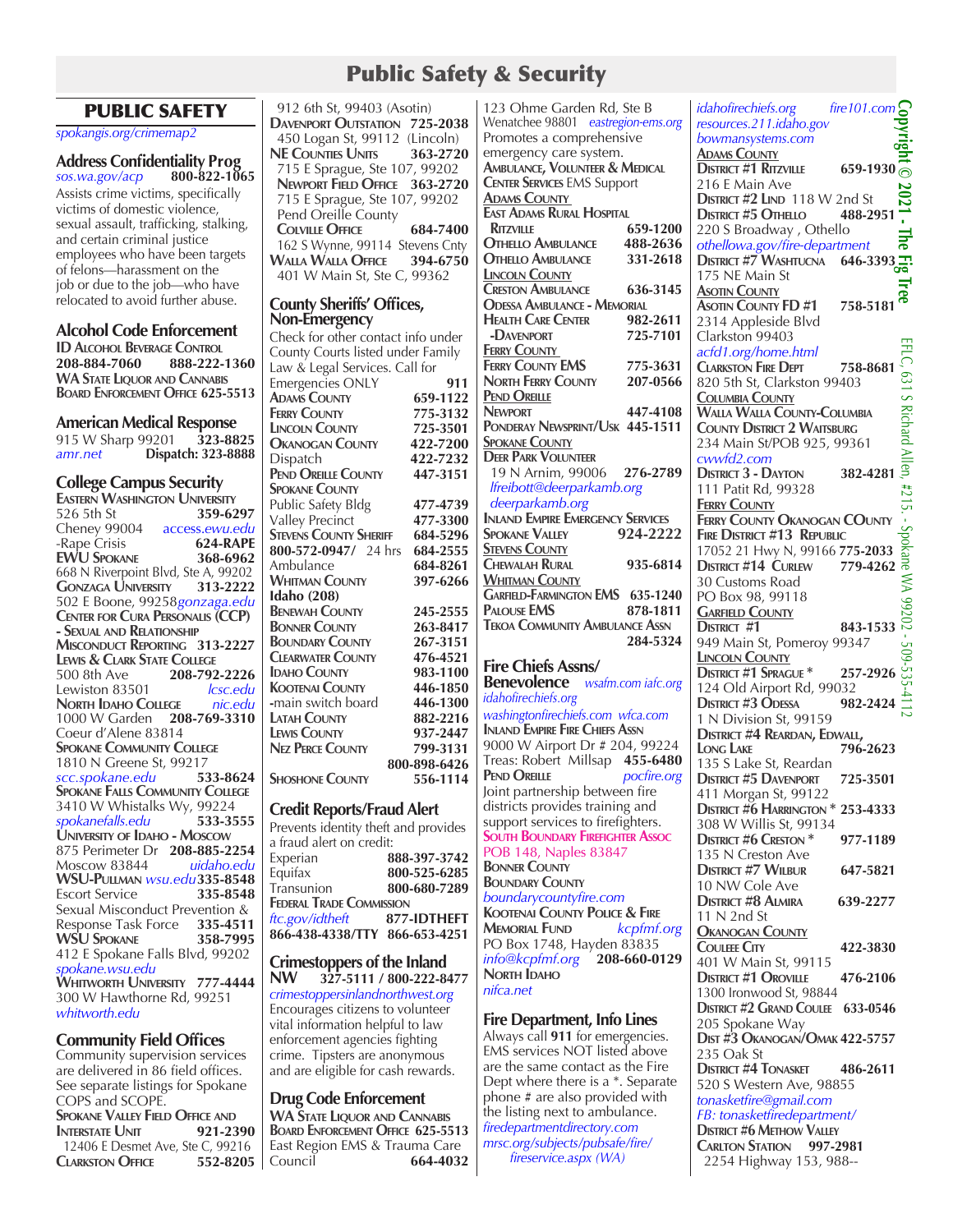# Public Safety & Security

# PUBLIC SAFETY

*spokangis.org/crimemap2*

# **<sup>A</sup>ddress Confidentiality Prog** *sos.wa.gov/acp* **800-822-1065**

Assists crime victims, specifically victims of domestic violence, sexual assault, trafficking, stalking, and certain criminal justice employees who have been targets of felons—harassment on the job or due to the job—who have relocated to avoid further abuse.

# **Alcohol Code Enforcement**

**ID ALCOHOL BEVERAGE CONTROL 208-884-7060 888-222-208-884-7060 888-222-1360 WA State Liquor and Cannabis Board Enforcement Office 625-5513**

# **American Medical Response**<br>915 W Sharp 99201 323-8825

915 W Sharp 99201 **323-8825** *amr.net* **Dispatch: 323-8888**

# **College Campus Security**

**EASTERN WASHINGTON UNIVERSITY**<br>526 5th St 359-6297 526 5th St **359-6297**<br>Cheney 99004 **access.ewu.edu** Cheney 99004 access.ewu.edu<br>-Rape Crisis **624-RAPF** -Rape Crisis **624-RAPE EWU SPOKANE** 668 N Riverpoint Blvd, Ste A, 99202<br> **GONZAGA UNIVERSITY** 313-2222 **Gonzaga University 313-2222** 502 E Boone, 99258*gonzaga.edu* **Center for Cura Personalis (CCP) - Sexual and Relationship Misconduct Reporting 313-2227 Lewis & Clark State College**<br>500 8th Ave **208-792** 500 8th Ave **208-792-2226** Lewiston 83501 **North Idaho College** *nic.edu* 1000 W Garden **208-769-3310** Coeur d'Alene 83814 **Spokane Community College** 1810 N Greene St, 99217<br>scc.spokane.edu 533-8624  $scc$ .spokane.edu **Spokane Falls Community College** 3410 W Whistalks Wy, 99224<br>spokanefalls.edu 533-3555 *spokanefalls.edu* **533-3555 University of Idaho - Moscow** 875 Perimeter Dr **208-885-2254** Moscow 83844 *uidaho.edu* **WSU-Pullman** *wsu.edu***335-8548 Escort Service** Sexual Misconduct Prevention &<br>Response Task Force 335-4511 Response Task Force **335-4511 WSU SPOKANE** 412 E Spokane Falls Blvd, 99202 *spokane.wsu.edu* **Whitworth University 777-4444** 300 W Hawthorne Rd, 99251 *whitworth.edu*

# **Community Field Offices**

Community supervision services are delivered in 86 field offices. See separate listings for Spokane COPS and SCOPE. **Spokane Valley Field Office and INTERSTATE** UNIT 12406 E Desmet Ave, Ste C, 99216<br>CLARKSTON **OFFICE** 552-8205 **CLARKSTON OFFICE** 

 912 6th St, 99403 (Asotin) **Davenport Outstation 725-2038 450 Logan St, 99112 (Lincoln)**<br>**NE COUNTIES UNITS** 363-2720 **NE** COUNTIES **UNITS**  715 E Sprague, Ste 107, 99202  **Newport Field Office 363-2720** 715 E Sprague, Ste 107, 99202 Pend Oreille County  **Colville Office 684-7400** 162 S Wynne, 99114 Stevens Cnty<br> **VALLA WALLA OFFICE** 394-6750 **Walla Walla Office 394-6750** 401 W Main St, Ste C, 99362

#### **County Sheriffs' Offices, Non-Emergency**

Check for other contact info under County Courts listed under Family Law & Legal Services. Call for Emergencies ONLY **911 ADAMS COUNTY** 659-1122<br> **FERRY COUNTY** 775-3132 **FERRY COUNTY 775-3132**<br> **LINCOLN COUNTY 725-3501 Lincoln County 725-3501 OKANOGAN COUNTY**<br>Dispatch Dispatch **422-7232 Pend Oreille County 447-3151 Spokane County** Public Safety Bldg **477-4739**  Valley Precinct **477-3300**<br>**STEVENS COUNTY SHERIFE** 684-5296 **STEVENS COUNTY SHERIFF 684-5296 800-572-0947/** 24 hrs **684-2555 800-572-0947/ 24 hrs Ambulance 684-8261**<br> **WHITMAN COUNTY** 397-6266 **WHITMAN COUNTY Idaho (208) Benewah County 245-2555 BONNER COUNTY** 263-8417<br> **BOUNDARY COUNTY** 267-3151 **Boundary County 267-3151 Clearwater County 476-4521 Idaho County 983-1100 KOOTENAI COUNTY** 446-1850<br> **1446-1300**<br> **1446-1300 -** main switch board **446-1300**<br> **446-1300**<br> **446-1300 LATAH COUNTY Lewis County 937-2447 Nez Perce County 799-3131 800-898-6426 Shoshone County 556-1114**

# **Credit Reports/Fraud Alert**

Prevents identity theft and provides a fraud alert on credit: Experian **888-397-3742** Equifax **800-525-6285** Transunion **800-680-7289 Federal Trade Commission** *ftc.gov/idtheft* **877-IDTHEFT 866-438-4338/TTY 866-653-4251**

#### **Crimestoppers of the Inland NW 327-5111 / 800-222-8477**

*crimestoppersinlandnorthwest.org* Encourages citizens to volunteer vital information helpful to law enforcement agencies fighting crime. Tipsters are anonymous and are eligible for cash rewards.

**Drug Code Enforcement WA State Liquor and Cannabis Board Enforcement Office 625-5513** East Region EMS & Trauma Care Council **664-4032**

123 Ohme Garden Rd, Ste B Wenatchee 98801 *eastregion-ems.org* Promotes a comprehensive emergency care system. **Ambulance, Volunteer & Medical Center Services** EMS Support **Adams County East Adams Rural Hospital Ritzville 659-1200 Othello Ambulance 488-2636 OTHELLO AMBULANCE Lincoln County Creston Ambulance 636-3145 Odessa Ambulance - Memorial HEALTH** CARE CENTER  **-Davenport 725-7101 Ferry County Ferry County EMS 775-3631 North Ferry County 207-0566 Pend Oreille Newport 447-4108 Ponderay Newsprint/Usk 445-1511 Spokane County Deer Park Volunteer** 19 N Arnim, 99006 **276-2789**  *lfreibott@deerparkamb.org deerparkamb.org* **Inland Empire Emergency Services SPOKANE VALLEY Stevens County Chewalah Rural 935-6814 Whitman County Garfield-Farmington EMS 635-1240 PALOUSE EMS Tekoa Community Ambulance Assn 284-5324 Fire Chiefs Assns/ Benevolence** *wsafm.com iafc.org idahofirechiefs.org washingtonfirechiefs.com wfca.com* **Inland Empire Fire Chiefs Assn** 9000 W Airport Dr # 204, 99224 Treas: Robert Millsap **455-6480 PEND OREILLE** *pocfire.org* Joint partnership between fire districts provides training and support services to firefighters. **South Boundary Firefighter Assoc** POB 148, Naples 83847 **Bonner County Boundary County** *boundarycountyfire.com* **Kootenai County Police & Fire MEMORIAL FUND** PO Box 1748, Hayden 83835 *info@kcpfmf.org* **208-660-0129 NORTH IDAHO** *nifca.net* **Fire Department, Info Lines**

#### Always call **911** for emergencies. EMS services NOT listed above are the same contact as the Fire Dept where there is a \*. Separate phone # are also provided with the listing next to ambulance. *firedepartmentdirectory.com mrsc.org/subjects/pubsafe/fire/ fireservice.aspx (WA)*

*idahofirechiefs.org fire101.com* **Copyright © 2021 - The Fig Tree** *resources.211.idaho.gov bowmansystems.com* **DOWINAIISYSTEMS.COM**<br>**ADAMS COUNTY**<br>**DISTRICT #1 RITZVILLE** 659-1930 **Adams County** 216 E Main Ave 2021 **District #2 Lind 118 W 2nd St**<br>**District #5 Othello** 488-2951 **DISTRICT #5 OTHELLO** L. 220 S Broadway , Othello The<br> *othellowa.gov/fire-department* **DISTRICT #7 WASHTUCNA 646-3393** 175 NE Main St Πree **Asotin County Asotin County FD #1 758-5181** 2314 Appleside Blvd Clarkston 99403 EFLC, EFLC, 631 S Richard Allen, #215. - Spokane WA 99202 - 509-535-4112*acfd1.org/home.html* **Clarkston Fire Dept 758-8681** 131 820 5th St, Clarkston 99403 **Columbia County**  $\overline{\mathbf{S}}$ **Walla Walla County-Columbia Richard County District 2 Waitsburg** 234 Main St/POB 925, 99361<br>  $\frac{C_{\text{TW}}}{2}$ <br> **DISTRICT 3 - DAYTON** 382-4281 *cwwfd2.com* **DISTRICT 3 - DAYTON** 111 Patit Rd, 99328  $#2$ **Ferry County** ᇬ **FERRY COUNTY OKANOGAN COUNTY**<br> **FIRE DISTRICT #13 REPUBLIC**<br>
17052 21 Hwy N, 99166 775-2033 22<br> **DISTRICT #14 CURLEW** 779-4262 7 **Fire District #13 Republic** 17052 21 Hwy N, 99166 **775-2033 DISTRICT #14 CURLEW** WA 30 Customs Road PO Box 98, 99118  $\overline{G}$ <br> **CARFIELD COUNTY**<br>
DISTRICT #1 843-1533 **Garfield County** 949 Main St, Pomeroy 99347 509 **Lincoln County District #1 Sprague \* 257-2926** 124 Old Airport Rd, 99032 **District #3 Odessa 982-2424** 1 N Division St, 99159 **District #4 Reardan, Edwall, Long Lake 796-2623** 135 S Lake St, Reardan **District #5 Davenport 725-3501** 411 Morgan St, 99122 **District #6 Harrington \* 253-4333** 308 W Willis St, 99134 **District #6 Creston \* 977-1189** 135 N Creston Ave **District #7 Wilbur 647-5821** 10 NW Cole Ave **District #8 Almira 639-2277** 11 N 2nd St **Okanogan County Couleee City 422-3830** 401 W Main St, 99115 **District #1 Oroville 476-2106** 1300 Ironwood St, 98844 **District #2 Grand Coulee 633-0546** 205 Spokane Way **Dist #3 Okanogan/Omak 422-5757** 235 Oak St **District #4 Tonasket 486-2611** 520 S Western Ave, 98855 *tonasketfire@gmail.com FB: tonasketfiredepartment/* **District #6 Methow Valley Carlton Station 997-2981** 2254 Highway 153, 988--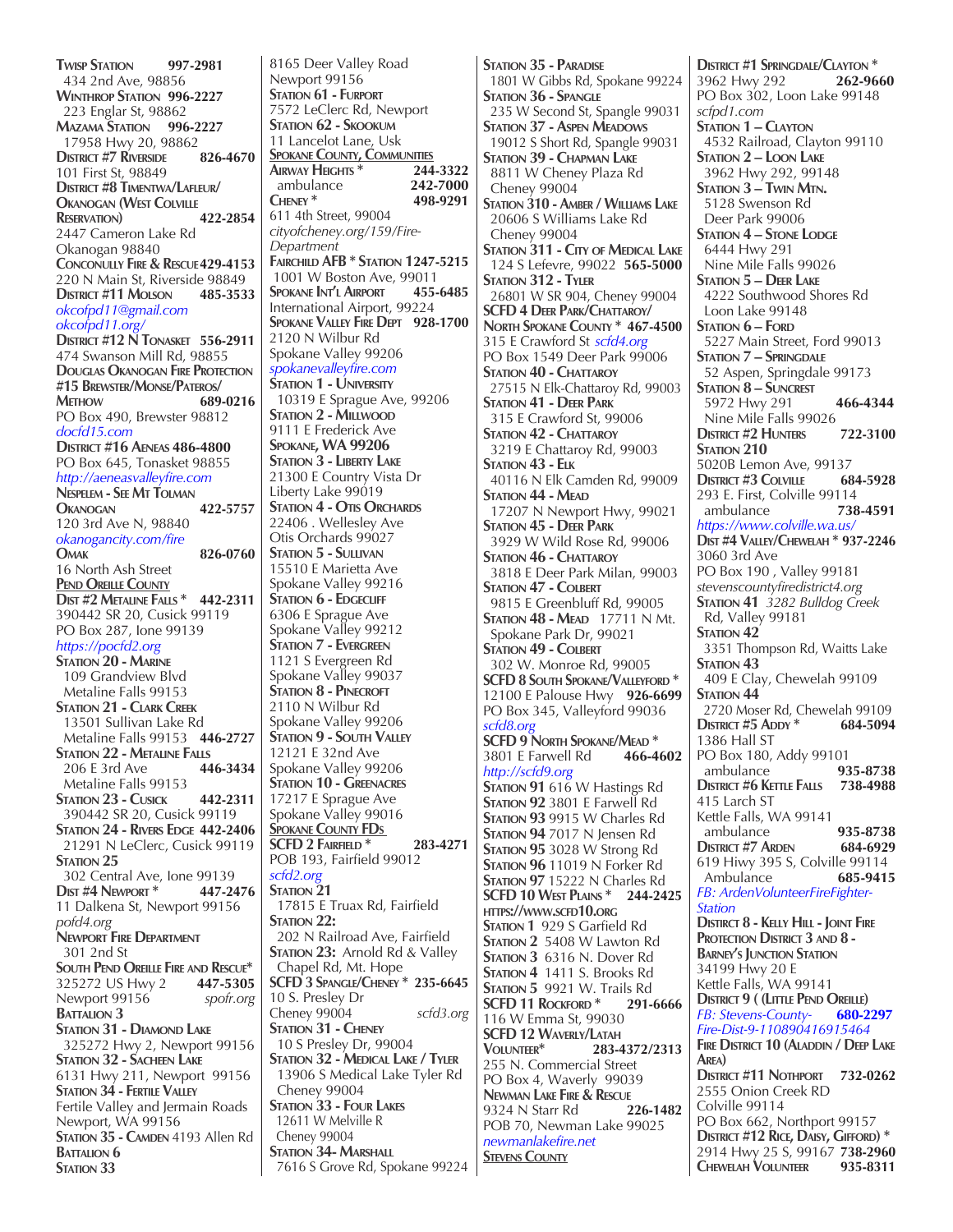**Twisp Station 997-2981** 434 2nd Ave, 98856 **Winthrop Station 996-2227** 223 Englar St, 98862 **Mazama Station 996-2227** 17958 Hwy 20, 98862<br>District #7 Riverside 826-4670 **DISTRICT #7 RIVERSIDE** 101 First St, 98849 **District #8 Timentwa/Lafleur/ Okanogan (West Colville Reservation) 422-2854** 2447 Cameron Lake Rd Okanogan 98840 **Conconully Fire & Rescue429-4153** 220 N Main St, Riverside 98849 **District #11 Molson 485-3533** *okcofpd11@gmail.com okcofpd11.org/* **District #12 N Tonasket 556-2911** 474 Swanson Mill Rd, 98855 **Douglas Okanogan Fire Protection #15 Brewster/Monse/Pateros/ Methow 689-0216** PO Box 490, Brewster 98812 *docfd15.com*  **District #16 Aeneas 486-4800** PO Box 645, Tonasket 98855 *http://aeneasvalleyfire.com* **Nespelem - See Mt Tolman Okanogan 422-5757** 120 3rd Ave N, 98840 *okanogancity.com/fire* **Omak 826-0760** 16 North Ash Street **Pend Oreille County Dist #2 Metaline Falls \* 442-2311** 390442 SR 20, Cusick 99119 PO Box 287, Ione 99139 *https://pocfd2.org* **STATION 20 - MARINE**  109 Grandview Blvd Metaline Falls 99153 **Station 21 - Clark Creek** 13501 Sullivan Lake Rd Metaline Falls 99153 **446-2727 STATION 22 - METALINE FALLS**<br>206 E 3rd Ave **446-3434** 206 **E** 3rd Ave Metaline Falls 99153 **Station 23 - Cusick 442-2311** 390442 SR 20, Cusick 99119 **Station 24 - Rivers Edge 442-2406** 21291 N LeClerc, Cusick 99119 STATION 25 302 Central Ave, Ione 99139<br>DIST #4 NEWPORT \* 447-2476 **DIST #4 NEWPORT \*** 11 Dalkena St, Newport 99156 *pofd4.org* **Newport Fire Department** 301 2nd St **South Pend Oreille Fire and Rescue\*** 325272 US Hwy 2 **447-5305** Newport 99156 **BATTALION 3 Station 31 - Diamond Lake** 325272 Hwy 2, Newport 99156 **Station 32 - Sacheen Lake** 6131 Hwy 211, Newport 99156 **Station 34 - Fertile Valley** Fertile Valley and Jermain Roads Newport, WA 99156 **Station 35 - Camden** 4193 Allen Rd **BATTALION 6** STATION 33

8165 Deer Valley Road Newport 99156 STATION **61 - FURPORT** 7572 LeClerc Rd, Newport **Station 62 - Skookum** 11 Lancelot Lane, Usk **SPOKANE COUNTY, COMMUNITIES**<br>AIRWAY HEIGHTS \* 244-3322 **Airway Heights \* 244-3322** ambulance **242-7000 Cheney \* 498-9291** 611 4th Street, 99004 *cityofcheney.org/159/Fire-Department* **Fairchild AFB \* Station 1247-5215** 1001 W Boston Ave, 99011<br>Spokane Int'l Airport 455-6485 **SPOKANE INT'L AIRPORT** International Airport, 99224 **Spokane Valley Fire Dept 928-1700** 2120 N Wilbur Rd Spokane Valley 99206 *spokanevalleyfire.com* **Station 1 - University** 10319 E Sprague Ave, 99206 **Station 2 - Millwood** 9111 E Frederick Ave **Spokane, WA 99206 Station 3 - Liberty Lake** 21300 E Country Vista Dr Liberty Lake 99019 **Station 4 - Otis Orchards** 22406 . Wellesley Ave Otis Orchards 99027 **Station 5 - Sullivan** 15510 E Marietta Ave Spokane Valley 99216 **STATION 6 - EDGECLIFF** 6306 E Sprague Ave Spokane Valley 99212 **Station 7 - Evergreen** 1121 S Evergreen Rd Spokane Valley 99037 **STATION 8 - PINECROFT** 2110 N Wilbur Rd Spokane Valley 99206 **Station 9 - South Valley** 12121 E 32nd Ave Spokane Valley 99206 **Station 10 - Greenacres** 17217 E Sprague Ave Spokane Valley 99016 **SPOKANE COUNTY FDs SCFD 2 Fairfield \* 283-4271** POB 193, Fairfield 99012 *scfd2.org* **STATION 21**  17815 E Truax Rd, Fairfield **STATION 22:**  202 N Railroad Ave, Fairfield **STATION 23:** Arnold Rd & Valley Chapel Rd, Mt. Hope **SCFD 3 Spangle/Cheney \* 235-6645** 10 S. Presley Dr Cheney 99004 *scfd3.org* **Station 31 - Cheney** 10 S Presley Dr, 99004 **Station 32 - Medical Lake / Tyler** 13906 S Medical Lake Tyler Rd Cheney 99004 **Station 33 - Four Lakes** 12611 W Melville R Cheney 99004 **Station 34- Marshall** 7616 S Grove Rd, Spokane 99224

**Station 35 - Paradise** 1801 W Gibbs Rd, Spokane 99224 **STATION 36 - SPANGLE**  235 W Second St, Spangle 99031 **Station 37 - Aspen Meadows** 19012 S Short Rd, Spangle 99031 **Station 39 - Chapman Lake** 8811 W Cheney Plaza Rd Cheney 99004 **Station 310 - Amber / Williams Lake** 20606 S Williams Lake Rd Cheney 99004 **Station 311 - City of Medical Lake** 124 S Lefevre, 99022 **565-5000 Station 312 - Tyler** 26801 W SR 904, Cheney 99004 **SCFD 4 Deer Park/Chattaroy/ North Spokane County \* 467-4500** 315 E Crawford St *scfd4.org* PO Box 1549 Deer Park 99006 **STATION 40 - CHATTAROY**  27515 N Elk-Chattaroy Rd, 99003 **Station 41 - Deer Park** 315 E Crawford St, 99006 **STATION 42 - CHATTAROY**  3219 E Chattaroy Rd, 99003 **Station 43 - Elk** 40116 N Elk Camden Rd, 99009 **Station 44 - Mead** 17207 N Newport Hwy, 99021 **Station 45 - Deer Park** 3929 W Wild Rose Rd, 99006 **STATION 46 - CHATTAROY**  3818 E Deer Park Milan, 99003 **Station 47 - Colbert** 9815 E Greenbluff Rd, 99005 **Station 48 - Mead** 17711 N Mt. Spokane Park Dr, 99021 **Station 49 - Colbert** 302 W. Monroe Rd, 99005 **SCFD 8 South Spokane/Valleyford \*** 12100 E Palouse Hwy **926-6699** PO Box 345, Valleyford 99036 *scfd8.org* **SCFD 9 North Spokane/Mead \*** 3801 E Farwell Rd **466-4602** *http://scfd9.org* **Station 91** 616 W Hastings Rd **STATION 92 3801 E Farwell Rd Station 93** 9915 W Charles Rd **Station 94** 7017 N Jensen Rd **Station 95** 3028 W Strong Rd **Station 96** 11019 N Forker Rd **Station 97** 15222 N Charles Rd **SCFD 10 West Plains \* 244-2425 https://www.scfd10.org Station 1** 929 S Garfield Rd **Station 2** 5408 W Lawton Rd **Station 3** 6316 N. Dover Rd **Station 4** 1411 S. Brooks Rd **STATION 5 9921 W. Trails Rd<br><b>SCFD 11 ROCKFORD** \* 291-6666 **SCFD 11 ROCKFORD \*** 116 W Emma St, 99030 **SCFD 12 WAVERLY/LATAH**<br>VOLUNTEER<sup>\*</sup> 283-4 **Volunteer\* 283-4372/2313** 255 N. Commercial Street PO Box 4, Waverly 99039 **Newman Lake Fire & Rescue** 9324 N Starr Rd **226-1482** POB 70, Newman Lake 99025 *newmanlakefire.net* **Stevens County**

**DISTRICT #1 SPRINGDALE/CLAYTON \***<br>3962 HWV 292 **262-9660** 3962 Hwy 292 PO Box 302, Loon Lake 99148 *scfpd1.com* **Station 1 – Clayton** 4532 Railroad, Clayton 99110 **Station 2 – Loon Lake** 3962 Hwy 292, 99148 **Station 3 – Twin Mtn.** 5128 Swenson Rd Deer Park 99006 **Station 4 – Stone Lodge** 6444 Hwy 291 Nine Mile Falls 99026 **Station 5 – Deer Lake** 4222 Southwood Shores Rd Loon Lake 99148 Station **6 – Ford**  5227 Main Street, Ford 99013 **Station 7 – Springdale** 52 Aspen, Springdale 99173 **Station 8 – Suncrest** 5972 Hwy 291 **466-4344** Nine Mile Falls 99026 **District #2 Hunters 722-3100 STATION 210 5020B Lemon Ave, 99137<br>DISTRICT #3 COLVILLE 684-5928 DISTRICT #3 COLVILLE** 293 E. First, Colville 99114<br>238-4591 ambulance ambulance **738-4591** *https://www.colville.wa.us/* **Dist #4 Valley/Chewelah \* 937-2246** 3060 3rd Ave PO Box 190 , Valley 99181 *stevenscountyfiredistrict4.org*  **Station 41** *3282 Bulldog Creek*  Rd, Valley 99181 **STATION 42**  3351 Thompson Rd, Waitts Lake **STATION 43**  409 E Clay, Chewelah 99109 STATION 44 2720 Moser Rd, Chewelah 99109 **District #5 Addy \* 684-5094** 1386 Hall ST PO Box 180, Addy 99101 ambulance **935-8738 District #6 Kettle Falls 738-4988** 415 Larch ST Kettle Falls, WA 99141 ambulance **935-8738 DISTRICT #7 ARDEN** 619 Hiwy 395 S, Colville 99114 Ambulance **685-9415** *FB: ArdenVolunteerFireFighter-Station* **Distirct 8 - Kelly Hill - Joint Fire** PROTECTION DISTRICT 3 AND 8 -**Barney's Junction Station** 34199 Hwy 20 E Kettle Falls, WA 99141 **District 9 ( (Little Pend Oreille)** *FB: Stevens-County-* **680-2297** *Fire-Dist-9-110890416915464* **Fire District 10 (Aladdin / Deep Lake Area) District #11 Nothport 732-0262** 2555 Onion Creek RD Colville 99114 PO Box 662, Northport 99157 **District #12 Rice, Daisy, Gifford) \*** 2914 Hwy 25 S, 99167 **738-2960 Chewelah Volunteer 935-8311**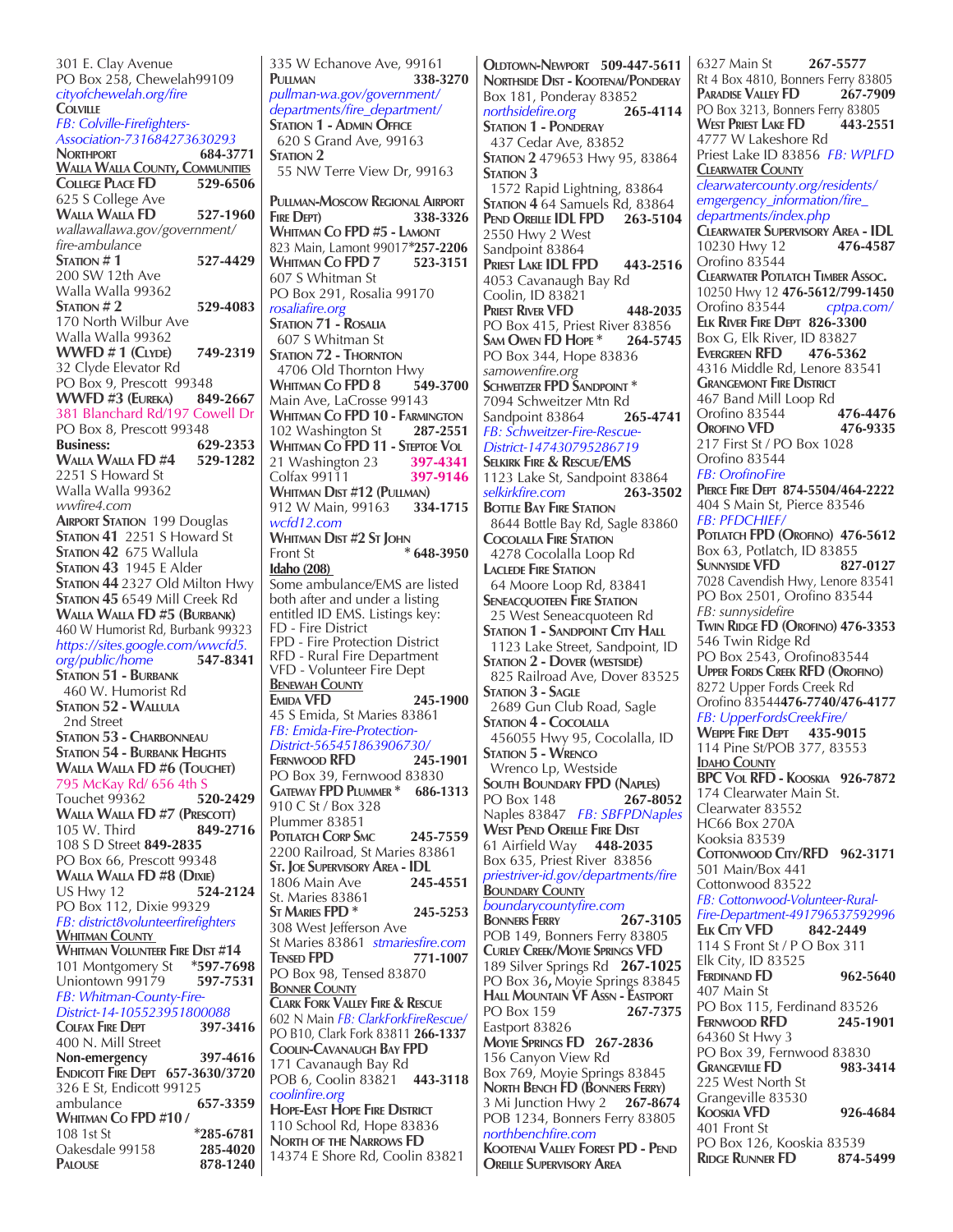301 E. Clay Avenue PO Box 258, Chewelah99109 *cityofchewelah.org/fire* **Colville** *FB: Colville-Firefighters-Association-731684273630293* **Northport 684-3771 Walla Walla County, Communities College Place FD 529-6506** 625 S College Ave **Walla Walla FD 527-1960** *wallawallawa.gov/government/ fire-ambulance*  **Station # 1 527-4429** 200 SW 12th Ave Walla Walla 99362 **Station # 2 529-4083** 170 North Wilbur Ave Walla Walla 99362 **WWFD # 1 (Clyde) 749-2319** 32 Clyde Elevator Rd PO Box 9, Prescott 99348<br> **WWFD #3 (EUREKA) 849-2667 WWFD #3 (EUREKA)** 381 Blanchard Rd/197 Cowell Dr PO Box 8, Prescott 99348<br>Business: 62 **Business: 629-2353 WALLA WALLA FD #4** 2251 S Howard St Walla Walla 99362 *wwfire4.com* **Airport Station** 199 Douglas **Station 41** 2251 S Howard St **Station 42** 675 Wallula **Station 43** 1945 E Alder **Station 44** 2327 Old Milton Hwy **Station 45** 6549 Mill Creek Rd **Walla Walla FD #5 (Burbank)** 460 W Humorist Rd, Burbank 99323 *https://sites.google.com/wwcfd5. org/public/home* **547-8341 Station 51 - Burbank** 460 W. Humorist Rd **Station 52 - Wallula** 2nd Street **Station 53 - Charbonneau Station 54 - Burbank Heights Walla Walla FD #6 (Touchet)** 795 McKay Rd/ 656 4th S Touchet 99362 **520-2429 WALLA WALLA FD #7 (PRESCOTT)**<br>105 W. Third **849-2716** 105 W. Third 108 S D Street **849-2835** PO Box 66, Prescott 99348 **Walla Walla FD #8 (Dixie) US Hwy 12** PO Box 112, Dixie 99329 *FB: district8volunteerfirefighters* **Whitman County WHITMAN VOLUNTEER FIRE DIST #14**<br>101 Montgomery St \*597-7698 101 Montgomery St **\*597-7698** Uniontown 99179 *FB: Whitman-County-Fire-District-14-105523951800088*  **Colfax Fire Dept 397-3416** 400 N. Mill Street **Non-emergency 397-4616 Endicott Fire Dept 657-3630/3720** 326 E St, Endicott 99125 ambulance **657-3359 Whitman Co FPD #10 /**  108 1st St **\*285-6781** Oakesdale 99158 **285-4020 Palouse 878-1240**

335 W Echanove Ave, 99161 **Pullman 338-3270** *pullman-wa.gov/government/ departments/fire\_department/* **Station 1 - Admin Office** 620 S Grand Ave, 99163 **STATION 2**  55 NW Terre View Dr, 99163 **Pullman-Moscow Regional Airport Fire Dept) 338-3326 Whitman Co FPD #5 - Lamont** 823 Main, Lamont 99017**\*257-2206 WHITMAN** CO<sub>FPD</sub> 7 607 S Whitman St PO Box 291, Rosalia 99170 *rosaliafire.org*  **Station 71 - Rosalia** 607 S Whitman St **Station 72 - Thornton** 4706 Old Thornton Hwy<br>WHITMAN Co FPD 8 549-3700 **WHITMAN** CO<sub>FPD</sub> 8 Main Ave, LaCrosse 99143 **Whitman Co FPD 10 - Farmington** 102 Washington St **287-2551 Whitman Co FPD 11 - Steptoe Vol** 21 Washington 23 **397-4341** Colfax 99111 **397-9146 Whitman Dist #12 (Pullman)**<br>912 W Main, 99163 **334-1715** 912 W Main, 99163 *wcfd12.com*  **WHITMAN DIST #2 ST JOHN**<br>Front St Front St **\* 648-3950 Idaho (208)**  Some ambulance/EMS are listed both after and under a listing entitled ID EMS. Listings key: FD - Fire District FPD - Fire Protection District RFD - Rural Fire Department VFD - Volunteer Fire Dept **Benewah County Emida VFD 245-1900** 45 S Emida, St Maries 83861 *FB: Emida-Fire-Protection-District-565451863906730/* **FERNWOOD RFD** PO Box 39, Fernwood 83830 **Gateway FPD Plummer \* 686-1313** 910 C St / Box 328 Plummer 83851 **Potlatch Corp Smc 245-7559** 2200 Railroad, St Maries 83861 **St. JOE SUPERVISORY AREA - IDL**<br>1806 Main Ave **245-4551** 1806 Main Ave **245-4551** St. Maries 83861 **St Maries FPD \* 245-5253** 308 West Jefferson Ave St Maries 83861 *stmariesfire.com* **Tensed FPD 771-1007** PO Box 98, Tensed 83870 **Bonner County Clark Fork Valley Fire & Rescue** 602 N Main *FB: ClarkForkFireRescue/*  PO B10, Clark Fork 83811 **266-1337 Coolin-Cavanaugh Bay FPD** 171 Cavanaugh Bay Rd POB 6, Coolin 83821 **443-3118** *coolinfire.org* **Hope-East Hope Fire District** 110 School Rd, Hope 83836 **North of the Narrows FD** 14374 E Shore Rd, Coolin 83821

**Oldtown-Newport 509-447-5611 Northside Dist - Kootenai/Ponderay** Box 181, Ponderay 83852<br>
northsidefire.org 265-4114  $nothsiderire.org$ **STATION 1 - PONDERAY** 437 Cedar Ave, 83852 **Station 2** 479653 Hwy 95, 83864 STATION 3 1572 Rapid Lightning, 83864 **Station 4** 64 Samuels Rd, 83864 **Pend Oreille IDL FPD 263-5104** 2550 Hwy 2 West Sandpoint 83864 **Priest Lake IDL FPD 443-2516** 4053 Cavanaugh Bay Rd Coolin, ID 83821 **Priest River VFD 448-2035** PO Box 415, Priest River 83856<br>SAM OWEN FD HOPE \* 264-5745 SAM OWEN **FD** HOPE \* PO Box 344, Hope 83836 *samowenfire.org* **Schweitzer FPD Sandpoint \*** 7094 Schweitzer Mtn Rd<br>Sandpoint 83864 **265-4741** Sandpoint 83864 *FB: Schweitzer-Fire-Rescue-District-147430795286719* **Selkirk Fire & Rescue/EMS** 1123 Lake St, Sandpoint 83864<br>selkirkfire.com 263-3502 *selkirkfire.com* **263-3502 BOTTLE BAY FIRE STATION**  8644 Bottle Bay Rd, Sagle 83860 **Cocolalla Fire Station** 4278 Cocolalla Loop Rd **Laclede Fire Station** 64 Moore Loop Rd, 83841 **Seneacquoteen Fire Station** 25 West Seneacquoteen Rd **STATION 1 - SANDPOINT CITY HALL**  1123 Lake Street, Sandpoint, ID **Station 2 - Dover (westside)** 825 Railroad Ave, Dover 83525 **STATION 3 - SAGLE**  2689 Gun Club Road, Sagle **Station 4 - Cocolalla** 456055 Hwy 95, Cocolalla, ID **Station 5 - Wrenco** Wrenco Lp, Westside **South Boundary FPD (Naples)**<br> **PO Box 148 267-8052 PO Box 148** Naples 83847 *FB: SBFPDNaples* **West Pend Oreille Fire Dist** 61 Airfield Way **448-2035** Box 635, Priest River 83856 *priestriver-id.gov/departments/fire* **Boundary County** *boundarycountyfire.com*  **BONNERS FERRY** POB 149, Bonners Ferry 83805 **Curley Creek/Moyie Springs VFD** 189 Silver Springs Rd **267-1025** PO Box 36**,** Moyie Springs 83845 **Hall Mountain VF Assn - Eastport<br>PO Box 159 267-7375 PO Box 159** Eastport 83826 **Moyie Springs FD 267-2836** 156 Canyon View Rd Box 769, Moyie Springs 83845 **North Bench FD (Bonners Ferry)** 3 Mi Junction Hwy 2 **267-8674** POB 1234, Bonners Ferry 83805 *northbenchfire.com* **Kootenai Valley Forest PD - Pend Oreille Supervisory Area**

6327 Main St **267-5577** Rt 4 Box 4810, Bonners Ferry 83805 **Paradise Valley FD 267-7909** PO Box 3213, Bonners Ferry 83805 **West Priest Lake FD 443-2551** 4777 W Lakeshore Rd Priest Lake ID 83856 *FB: WPLFD* **Clearwater County** *clearwatercounty.org/residents/ emgergency\_information/fire\_ departments/index.php*  **CLEARWATER SUPERVISORY AREA - IDL**<br>10230 Hwv 12 **476-4587** 10230 Hwy 12 **476-4587** Orofino 83544 **Clearwater Potlatch Timber Assoc.** 10250 Hwy 12 **476-5612/799-1450** Orofino 83544 *cptpa.com/* **Elk River Fire Dept 826-3300** Box G, Elk River, ID 83827 **Evergreen RFD 476-5362** 4316 Middle Rd, Lenore 83541 **GRANGEMONT FIRE DISTRICT** 467 Band Mill Loop Rd Orofino 83544 **476-4476 Orofino VFD 476-9335** 217 First St / PO Box 1028 Orofino 83544 *FB: OrofinoFire* **Pierce Fire Dept 874-5504/464-2222** 404 S Main St, Pierce 83546 *FB: PFDCHIEF/* **Potlatch FPD (Orofino) 476-5612** Box 63, Potlatch, ID 83855 **Sunnyside VFD 827-0127** 7028 Cavendish Hwy, Lenore 83541 PO Box 2501, Orofino 83544 *FB: sunnysidefire* **Twin Ridge FD (Orofino) 476-3353** 546 Twin Ridge Rd PO Box 2543, Orofino83544 **Upper Fords Creek RFD (Orofino)** 8272 Upper Fords Creek Rd Orofino 83544**476-7740/476-4177** *FB: UpperFordsCreekFire/*  **Weippe Fire Dept 435-9015** 114 Pine St/POB 377, 83553 **Idaho County BPC Vol RFD - Kooskia 926-7872** 174 Clearwater Main St. Clearwater 83552 HC66 Box 270A Kooksia 83539 **Cottonwood City/RFD 962-3171** 501 Main/Box 441 Cottonwood 83522 *FB: Cottonwood-Volunteer-Rural-Fire-Department-491796537592996* **Elk City VFD 842-2449** 114 S Front St / P O Box 311 Elk City, ID 83525 **Ferdinand FD 962-5640** 407 Main St PO Box 115, Ferdinand 83526 **Fernwood RFD 245-1901**  64360 St Hwy 3 PO Box 39, Fernwood 83830 **Grangeville FD 983-3414** 225 West North St Grangeville 83530 **Kooskia VFD 926-4684** 401 Front St PO Box 126, Kooskia 83539 **Ridge Runner FD 874-5499**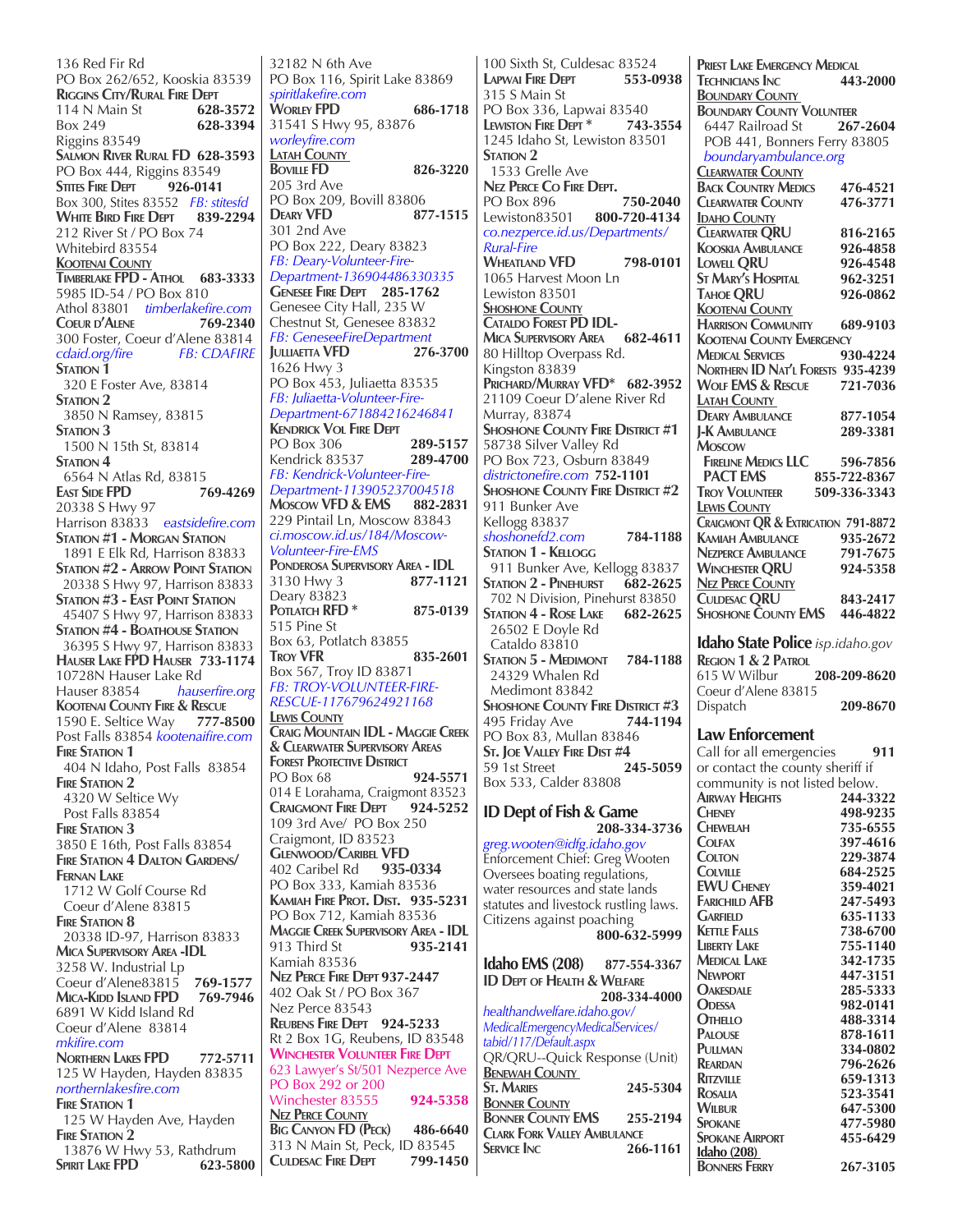136 Red Fir Rd PO Box 262/652, Kooskia 83539 **RIGGINS CITY/RURAL FIRE DEPT**<br>114 N Main St 628-3572 114 N Main St Box 249 **628-3394** Riggins 83549 **Salmon River Rural FD 628-3593** PO Box 444, Riggins 83549<br>STITES FIDE DEDT 926-0141 **STITES** FIRE DEPT Box 300, Stites 83552 *FB: stitesfd* **WHITE BIRD FIRE DEPT** 212 River St / PO Box 74 Whitebird 83554 **Kootenai County Timberlake FPD - Athol 683-3333** 5985 ID-54 / PO Box 810 Athol 83801 *timberlakefire.com* **Coeur d'Alene 769-2340** 300 Foster, Coeur d'Alene 83814<br>cdaid.org/fire FB: CDAFIRE  $cdaid.org/fire$ STATION<sub>1</sub> 320 E Foster Ave, 83814 **Station 2**  3850 N Ramsey, 83815 STATION 3 1500 N 15th St, 83814 STATION 4 6564 N Atlas Rd, 83815 **East Side FPD 769-4269** 20338 S Hwy 97 Harrison 83833 *eastsidefire.com* **Station #1 - Morgan Station** 1891 E Elk Rd, Harrison 83833 **Station #2 - Arrow Point Station** 20338 S Hwy 97, Harrison 83833 **Station #3 - East Point Station** 45407 S Hwy 97, Harrison 83833 **Station #4 - Boathouse Station** 36395 S Hwy 97, Harrison 83833 **Hauser Lake FPD Hauser 733-1174** 10728N Hauser Lake Rd<br>Hauser 83854 – haus Hauser 83854 *hauserfire.org* **Kootenai County Fire & Rescue** 1590 E. Seltice Way **777-8500** Post Falls 83854 *kootenaifire.com* **FIRE STATION 1**  404 N Idaho, Post Falls 83854 **FIRE STATION 2**  4320 W Seltice Wy Post Falls 83854 **FIRE STATION 3** 3850 E 16th, Post Falls 83854 **Fire Station 4 Dalton Gardens/ Fernan Lake** 1712 W Golf Course Rd Coeur d'Alene 83815 **Fire Station 8** 20338 ID-97, Harrison 83833 **Mica Supervisory Area -IDL** 3258 W. Industrial Lp Coeur d'Alene83815 **769-1577 Mica-Kidd Island FPD 769-7946** 6891 W Kidd Island Rd Coeur d'Alene 83814 *mkifire.com* **Northern Lakes FPD 772-5711** 125 W Hayden, Hayden 83835 *northernlakesfire.com* **FIRE STATION 1**<br>125 W Hayden Ave, Hayden **FIRE STATION 2** 13876 W Hwy 53, Rathdrum<br>PIRIT LAKE FPD 623-5800 **SPIRIT** LAKE **FPD** 

32182 N 6th Ave PO Box 116, Spirit Lake 83869 *spiritlakefire.com* **Worley FPD 686-1718** 31541 S Hwy 95, 83876 *worleyfire.com* **Latah County Boville FD 826-3220** 205 3rd Ave PO Box 209, Bovill 83806 **Deary VFD 877-1515** 301 2nd Ave PO Box 222, Deary 83823 *FB: Deary-Volunteer-Fire-Department-136904486330335* **Genesee Fire Dept 285-1762** Genesee City Hall, 235 W Chestnut St, Genesee 83832 *FB: GeneseeFireDepartment* **Julliaetta VFD 276-3700** 1626 Hwy 3 PO Box 453, Juliaetta 83535 *FB: Juliaetta-Volunteer-Fire-Department-671884216246841* **Kendrick Vol Fire Dept** PO Box 306 **289-5157 Kendrick 83537** *FB: Kendrick-Volunteer-Fire-Department-113905237004518* **Moscow VFD & EMS 882-2831** 229 Pintail Ln, Moscow 83843 *ci.moscow.id.us/184/Moscow-Volunteer-Fire-EMS* **PONDEROSA SUPERVISORY AREA - IDL**<br>3130 Hwv 3 **877-1121** 3130 Hwy 3 **877-1121** Deary 83823 **Potlatch RFD \* 875-0139** 515 Pine St Box 63, Potlatch 83855<br>Troy VFR **Troy VFR 835-2601** Box 567, Troy ID 83871 *FB: TROY-VOLUNTEER-FIRE-RESCUE-117679624921168* **Lewis County Craig Mountain IDL - Maggie Creek & Clearwater Supervisory Areas FOREST PROTECTIVE DISTRICT** PO Box 68 **924-5571** 014 E Lorahama, Craigmont 83523 **Craigmont Fire Dept 924-5252** 109 3rd Ave/ PO Box 250 Craigmont, ID 83523 **GLENWOOD/CARIBEL VFD**<br>402 Caribel Rd 935-0334 402 Caribel Rd PO Box 333, Kamiah 83536 **Kamiah Fire Prot. Dist. 935-5231** PO Box 712, Kamiah 83536 **MAGGIE CREEK SUPERVISORY AREA - IDL**<br>913 Third St **935-2141** 913 Third St Kamiah 83536 **Nez Perce Fire Dept 937-2447** 402 Oak St / PO Box 367 Nez Perce 83543 **Reubens Fire Dept 924-5233** Rt 2 Box 1G, Reubens, ID 83548 **Winchester Volunteer Fire Dept** 623 Lawyer's St/501 Nezperce Ave PO Box 292 or 200 Winchester 83555 **924-5358 Nez Perce County Big Canyon FD (Peck) 486-6640** 313 N Main St, Peck, ID 83545 **Culdesac Fire Dept 799-1450**

100 Sixth St, Culdesac 83524<br>Lapwal Fire Dept 553-0938 **LAPWAI FIRE** DEPT 315 S Main St PO Box 336, Lapwai 83540<br>I EWISTON FIRE DEPT \* 743-3554 **Lewiston Fire Dept \* 743-3554** 1245 Idaho St, Lewiston 83501 STATION 2 1533 Grelle Ave **Nez Perce Co Fire Dept. PO Box 896** Lewiston83501 **800-720-4134** *co.nezperce.id.us/Departments/ Rural-Fire* **Wheatland VFD 798-0101** 1065 Harvest Moon Ln Lewiston 83501 **Shoshone County Cataldo Forest PD IDL- Mica Supervisory Area 682-4611** 80 Hilltop Overpass Rd. Kingston 83839 **Prichard/Murray VFD\* 682-3952** 21109 Coeur D'alene River Rd Murray, 83874 **Shoshone County Fire District #1**  58738 Silver Valley Rd PO Box 723, Osburn 83849 *districtonefire.com* **752-1101 Shoshone County Fire District #2**  911 Bunker Ave Kellogg 83837 *shoshonefd2.com* **784-1188 Station 1 - Kellogg** 911 Bunker Ave, Kellogg 83837<br> **STATION 2 - PINEHURST 682-2625 STATION 2 - PINEHURST** 702 N Division, Pinehurst 83850<br> **STATION 4 - ROSE LAKE** 682-2625 **STATION 4 - ROSE LAKE**  26502 E Doyle Rd Cataldo 83810 **Station 5 - Medimont 784-1188** 24329 Whalen Rd Medimont 83842 **SHOSHONE COUNTY FIRE DISTRICT #3**<br>495 Friday Ave **744-1194** 495 Friday Ave PO Box 83, Mullan 83846 **St. JOE VALLEY FIRE DIST #4**<br>59 1st Street **245-5059** 59 1st Street **245-5059**  Box 533, Calder 83808 **ID Dept of Fish & Game 208-334-3736** *greg.wooten@idfg.idaho.gov* Enforcement Chief: Greg Wooten Oversees boating regulations, water resources and state lands statutes and livestock rustling laws. Citizens against poaching  **800-632-5999 Idaho EMS (208) 877-554-3367 ID Dept of Health & Welfare 208-334-4000** *healthandwelfare.idaho.gov/ MedicalEmergencyMedicalServices/ tabid/117/Default.aspx* QR/QRU--Quick Response (Unit) **BENEWAH COUNTY**<br>**ST. MARIES St. Maries 245-5304 Bonner County Bonner County EMS 255-2194 Clark Fork Valley Ambulance Service Inc 266-1161**

**PRIEST LAKE EMERGENCY MEDICAL<br>TECHNICIANS INC 443-2000 Technicians Inc 443-2000 Boundary County BOUNDARY COUNTY VOLUNTEER**<br>6447 Railroad St **267-2604** 6447 Railroad St POB 441, Bonners Ferry 83805  *boundaryambulance.org* **Clearwater County Back Country Medics 476-4521 Clearwater County 476-3771 IDAHO COUNTY Clearwater QRU 816-2165 Kooskia Ambulance 926-4858 LOWELL QRU** 926-4548<br> **ST MARY'S HOSPITAL** 962-3251 **St Mary's Hospital 962-3251 TAHOE** ORU **Kootenai County Harrison Community 689-9103 Kootenai County Emergency Medical Services 930-4224 Northern ID Nat'l Forests 935-4239 Wolf EMS & Rescue 721-7036 Latah County Deary Ambulance 877-1054 J-K Ambulance 289-3381 Moscow Fireline Medics LLC 596-7856 PACT EMS 855-722-8367 Troy Volunteer 509-336-3343 Lewis County Craigmont QR & Extrication 791-8872 KAMIAH AMBULANCE** 935-2672<br> **NEZPERCE AMBULANCE** 791-7675 **Nezperce Ambulance 791-7675 Winchester QRU 924-5358 Nez Perce County Culdesac QRU 843-2417 Shoshone County EMS 446-4822 Idaho State Police** *isp.idaho.gov* **REGION 1 & 2 PATROL**<br>615 W Wilbur 615 W Wilbur **208-209-8620** Coeur d'Alene 83815 Dispatch **209-8670 Law Enforcement** Call for all emergencies **911**  or contact the county sheriff if community is not listed below.<br>**AIRWAY HEIGHTS** 244-3322 **AIRWAY HEIGHTS**<br>**CHENEY Cheney 498-9235 Chewelah 735-6555 Colfax 397-4616 Colton 229-3874**<br> **Colville 684-2525 Colville 684-2525 EWU Cheney 359-4021 FARICHILD AFB**<br>**GARFIELD Garfield 635-1133 Kettle Falls 738-6700 LIBERTY LAKE Medical Lake 342-1735 Newport 447-3151 Oakesdale 285-5333 O**DESSA 982-0141<br> **OTHELLO** 488-3314 **OTHELLO 488-3314**<br>**PALOUSE 878-1611 Palouse 878-1611 Pullman 334-0802 Reardan 796-2626 Ritzville 659-1313 Rosalia 523-3541 WILBUR** 647-5300<br> **SPOKANE** 477-5980 **Spokane 477-5980 SPOKANE AIRPORT Idaho (208) Bonners Ferry 267-3105**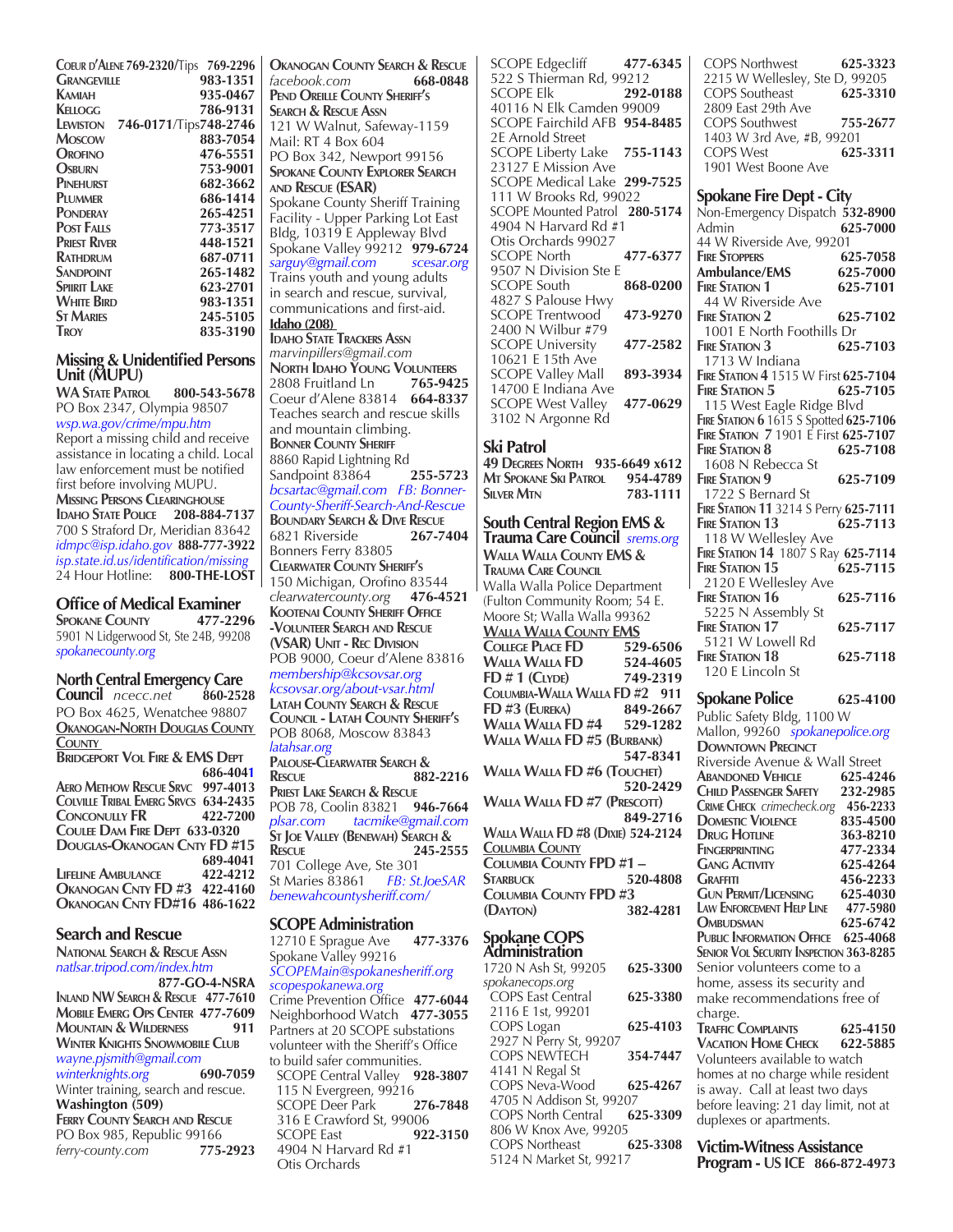| COEUR D'ALENE 769-2320/Tips<br><b>GRANGEVILLE</b> | 769-2296<br>983-1351 |
|---------------------------------------------------|----------------------|
| Kamiah                                            | 935-0467             |
| KELLOGG                                           | 786-9131             |
| 746-0171/Tips748-2746<br>LEWISTON                 |                      |
| <b>MOSCOW</b>                                     | 883-7054             |
| OROFINO                                           | 476-5551             |
| Osburn                                            | 753-9001             |
| PINEHURST                                         | 682-3662             |
| PLUMMER                                           | 686-1414             |
| <b>PONDERAY</b>                                   | 265-4251             |
| <b>POST FALLS</b>                                 | 773-3517             |
| <b>PRIEST RIVER</b>                               | 448-1521             |
| RATHDRUM                                          | 687-0711             |
| <b>SANDPOINT</b>                                  | 265-1482             |
| <b>SPIIRIT LAKE</b>                               | 623-2701             |
| <b>WHITE BIRD</b>                                 | 983-1351             |
| <b>ST MARIES</b>                                  | 245-5105             |
| TROY                                              | 835-3190             |
|                                                   |                      |

#### **Missing & Unidentified Persons Unit (MUPU)**

**WA State Patrol 800-543-5678** PO Box 2347, Olympia 98507 *wsp.wa.gov/crime/mpu.htm* Report a missing child and receive assistance in locating a child. Local law enforcement must be notified first before involving MUPU. **Missing Persons Clearinghouse Idaho State Police 208-884-7137** 700 S Straford Dr, Meridian 83642 *idmpc@isp.idaho.gov* **888-777-3922** *isp.state.id.us/identification/missing* 24 Hour Hotline: **800-THE-LOST**

# **Office of Medical Examiner**<br>SPOKANE COUNTY 477-2296

**SPOKANE COUNTY** 5901 N Lidgerwood St, Ste 24B, 99208 *spokanecounty.org*

**North Central Emergency Care Council** *ncecc.net* PO Box 4625, Wenatchee 98807 **Okanogan-North Douglas County County**

**Bridgeport Vol Fire & EMS Dept 686-4041 Aero Methow Rescue Srvc 997-4013 Colville Tribal Emerg Srvcs 634-2435 Conconully FR 422-7200 Coulee Dam Fire Dept 633-0320 Douglas-Okanogan Cnty FD #15 689-4041 LIFELINE AMBULANCE Okanogan Cnty FD #3 422-4160 Okanogan Cnty FD#16 486-1622**

# **Search and Rescue**

**National Search & Rescue Assn** *natlsar.tripod.com/index.htm*  **877-GO-4-NSRA**

**Inland NW Search & Rescue 477-7610 Mobile Emerg Ops Center 477-7609 Mountain & Wilderness 911 Winter Knights Snowmobile Club** *wayne.pjsmith@gmail.com*  $winterknights.org$ Winter training, search and rescue. **Washington (509) Ferry County Search and Rescue** PO Box 985, Republic 99166 *ferry-county.com* **775-2923**

**Okanogan County Search & Rescue** *facebook.com* **668-0848 Pend Oreille County Sheriff's Search & Rescue Assn** 121 W Walnut, Safeway-1159 Mail: RT 4 Box 604 PO Box 342, Newport 99156 **Spokane County Explorer Search and Rescue (ESAR)** Spokane County Sheriff Training Facility - Upper Parking Lot East Bldg, 10319 E Appleway Blvd Spokane Valley 99212 **979-6724**<br>sarguy@gmail.com scesar.org sarguy@gmail.com Trains youth and young adults in search and rescue, survival, communications and first-aid. **Idaho (208) Idaho State Trackers Assn** *marvinpillers@gmail.com* **NORTH IDAHO YOUNG VOLUNTEERS**<br>2808 **Fruitland** Ln **765-9425** 2808 Fruitland Ln **765-9425** Coeur d'Alene 83814 **664-8337** Teaches search and rescue skills and mountain climbing. **Bonner County Sheriff** 8860 Rapid Lightning Rd Sandpoint 83864 **255-5723** *bcsartac@gmail.com FB: Bonner-County-Sheriff-Search-And-Rescue* **Boundary Search & Dive Rescue** 6821 Riverside **267-7404** Bonners Ferry 83805 **Clearwater County Sheriff's** 150 Michigan, Orofino 83544 *clearwatercounty.org* **476-4521 Kootenai County Sheriff Office -Volunteer Search and Rescue (VSAR) Unit - Rec Division** POB 9000, Coeur d'Alene 83816 *membership@kcsovsar.org kcsovsar.org/about-vsar.html* **Latah County Search & Rescue Council - Latah County Sheriff's** POB 8068, Moscow 83843 *latahsar.org* **Palouse-Clearwater Search & Rescue 882-2216 Priest Lake Search & Rescue** POB 78, Coolin 83821 **946-7664** *plsar.com tacmike@gmail.com* **St Joe Valley (Benewah) Search & Rescue 245-2555** 701 College Ave, Ste 301<br>St Maries 83861 FB: St.JoeSAR St Maries 83861*FB: St.JoeSAR benewahcountysheriff.com/* **SCOPE Administration**<br>12710 E Sprague Ave 477-3376

12710 E Sprague Ave Spokane Valley 99216 *SCOPEMain@spokanesheriff.org scopespokanewa.org* Crime Prevention Office **477-6044** Neighborhood Watch **477-3055** Partners at 20 SCOPE substations volunteer with the Sheriff's Office to build safer communities. SCOPE Central Valley **928-3807** 115 N Evergreen, 99216<br>SCOPE Deer Park 276-7848 **SCOPE Deer Park**  316 E Crawford St, 99006 SCOPE East **922-3150** 4904 N Harvard Rd #1 Otis Orchards

 SCOPE Edgecliff **477-6345** 522 S Thierman Rd, 99212<br>SCOPE Elk 292-0188 **SCOPE Elk**  40116 N Elk Camden 99009 SCOPE Fairchild AFB **954-8485** 2E Arnold Street SCOPE Liberty Lake **755-1143** 23127 E Mission Ave SCOPE Medical Lake **299-7525** 111 W Brooks Rd, 99022 SCOPE Mounted Patrol **280-5174** 4904 N Harvard Rd #1 Otis Orchards 99027 SCOPE North **477-6377** 9507 N Division Ste E SCOPE South **868-0200**  4827 S Palouse Hwy SCOPE Trentwood **473-9270** 2400 N Wilbur #79 SCOPE University **477-2582** 10621 E 15th Ave SCOPE Valley Mall **893-3934** 14700 E Indiana Ave SCOPE West Valley **477-0629** 3102 N Argonne Rd

## **Ski Patrol**

| 49 DEGREES NORTH 935-6649 x612 |          |
|--------------------------------|----------|
| Mt Spokane Ski Patrol          | 954-4789 |
| <b>SILVER MTN</b>              | 783-1111 |

**South Central Region EMS & Trauma Care Council** *srems.org*

**Walla Walla County EMS & Trauma Care Council** Walla Walla Police Department (Fulton Community Room; 54 E. Moore St; Walla Walla 99362 **Walla Walla County EMS College Place FD 529-6506 WALLA WALLA FD** 524-4605<br>**FD** # 1 (Clyde) 749-2319 **FD** # **1** (CLYDE) **Columbia-Walla Walla FD #2 911 FD #3 (Eureka) 849-2667 Walla Walla FD #4 529-1282 Walla Walla FD #5 (Burbank) 547-8341 Walla Walla FD #6 (Touchet) 520-2429 Walla Walla FD #7 (Prescott) 849-2716 Walla Walla FD #8 (Dixie) 524-2124 Columbia County Columbia County FPD #1 – Starbuck 520-4808 Columbia County FPD #3 (Dayton) 382-4281**

#### **Spokane COPS Administration**

1720 N Ash St, 99205 **625-3300** *spokanecops.org* COPS East Central **625-3380** 2116 E 1st, 99201 COPS Logan **625-4103** 2927 N Perry St, 99207 COPS NEWTECH **354-7447** 4141 N Regal St COPS Neva-Wood **625-4267** 4705 N Addison St, 99207 COPS North Central **625-3309** 806 W Knox Ave, 99205<br>COPS Northeast 625-3308 **COPS Northeast** 5124 N Market St, 99217

| 2215 W Wellesley, Ste D, 99205<br><b>COPS</b> Southeast<br>2809 East 29th Ave<br><b>COPS</b> Southwest<br>1403 W 3rd Ave, #B, 99201<br><b>COPS West</b><br>1901 West Boone Ave | 625-3310<br>755-2677<br>625-3311 |
|--------------------------------------------------------------------------------------------------------------------------------------------------------------------------------|----------------------------------|
| <b>Spokane Fire Dept - City</b>                                                                                                                                                |                                  |
| Non-Emergency Dispatch 532-8900                                                                                                                                                |                                  |
| Admin                                                                                                                                                                          | 625-7000                         |
| 44 W Riverside Ave, 99201                                                                                                                                                      |                                  |
| <b>FIRE STOPPERS</b>                                                                                                                                                           | 625-7058                         |
| Ambulance/EMS                                                                                                                                                                  | 625-7000                         |
| <b>FIRE STATION 1</b>                                                                                                                                                          | 625-7101                         |
| 44 W Riverside Ave                                                                                                                                                             |                                  |
| <b>FIRE STATION 2</b>                                                                                                                                                          | 625-7102                         |
| 1001 E North Foothills Dr                                                                                                                                                      |                                  |
| FIRE STATION 3                                                                                                                                                                 | 625-7103                         |
| 1713 W Indiana                                                                                                                                                                 |                                  |
| FIRE STATION 4 1515 W First 625-7104                                                                                                                                           |                                  |
| <b>FIRE STATION 5</b>                                                                                                                                                          | 625-7105                         |
| 115 West Eagle Ridge Blvd                                                                                                                                                      |                                  |
| Fire Station 6 1615 S Spotted 625-7106<br>Fire Station 7 1901 E First 625-7107                                                                                                 |                                  |
|                                                                                                                                                                                |                                  |
| <b>FIRE STATION 8</b>                                                                                                                                                          | 625-7108                         |
| 1608 N Rebecca St                                                                                                                                                              |                                  |
| <b>FIRE STATION 9</b>                                                                                                                                                          | 625-7109                         |
| 1722 S Bernard St                                                                                                                                                              |                                  |
| FIRE STATION 11 3214 S Perry 625-7111                                                                                                                                          |                                  |
| <b>FIRE STATION 13</b>                                                                                                                                                         | 625-7113                         |
| 118 W Wellesley Ave                                                                                                                                                            |                                  |
| FIRE STATION 14 1807 S Ray 625-7114                                                                                                                                            |                                  |
| <b>FIRE STATION 15</b>                                                                                                                                                         | 625-7115                         |
| 2120 E Wellesley Ave                                                                                                                                                           | 625-7116                         |
| FIRE STATION 16<br>5225 N Assembly St                                                                                                                                          |                                  |
| <b>FIRE STATION 17</b>                                                                                                                                                         | 625-7117                         |
| 5121 W Lowell Rd                                                                                                                                                               |                                  |
| <b>FIRE STATION 18</b>                                                                                                                                                         | 625-7118                         |
| 120 E Lincoln St                                                                                                                                                               |                                  |
|                                                                                                                                                                                |                                  |
| Spokane Police                                                                                                                                                                 | 625-4100                         |
| Public Safety Bldg, 1100 W                                                                                                                                                     |                                  |
| Mallon, 99260 <i>spokanepolice.org</i>                                                                                                                                         |                                  |
| <b>DOWNTOWN PRECINCT</b>                                                                                                                                                       |                                  |
| Riverside Avenue & Wall Street                                                                                                                                                 |                                  |
| <b>ABANDONED VEHICLE</b>                                                                                                                                                       | 625-4246                         |
| Child Passenger Safety                                                                                                                                                         | 232-2985                         |
| <b>CRIME CHECK</b> crimecheck.org                                                                                                                                              | 456-2233                         |

COPS Northwest **625-3323**

**Abandoned Vehicle 625-4246 Child Passenger Safety 232-2985 Crime Check** *crimecheck.org* **456-2233 DOMESTIC VIOLENCE 835-4500**<br>**DRUG HOTLINE 863-8210 DRUG HOTLINE 363-8210**<br>**FINGERPRINTING 477-2334 Fingerprinting 477-2334 GANG ACTIVITY** 625-4264<br> **GRAFFITI** 456-2233 **Graffiti 456-2233 Gun Permit/Licensing 625-4030 L**AW **ENFORCEMENT HELP** LINE **Ombudsman 625-6742 Public Information Office 625-4068 Senior Vol Security Inspection 363-8285** Senior volunteers come to a home, assess its security and make recommendations free of charge. **Traffic Complaints 625-4150 Vacation Home Check 622-5885** Volunteers available to watch homes at no charge while resident is away. Call at least two days before leaving: 21 day limit, not at duplexes or apartments.

**Victim-Witness Assistance Program - US ICE 866-872-4973**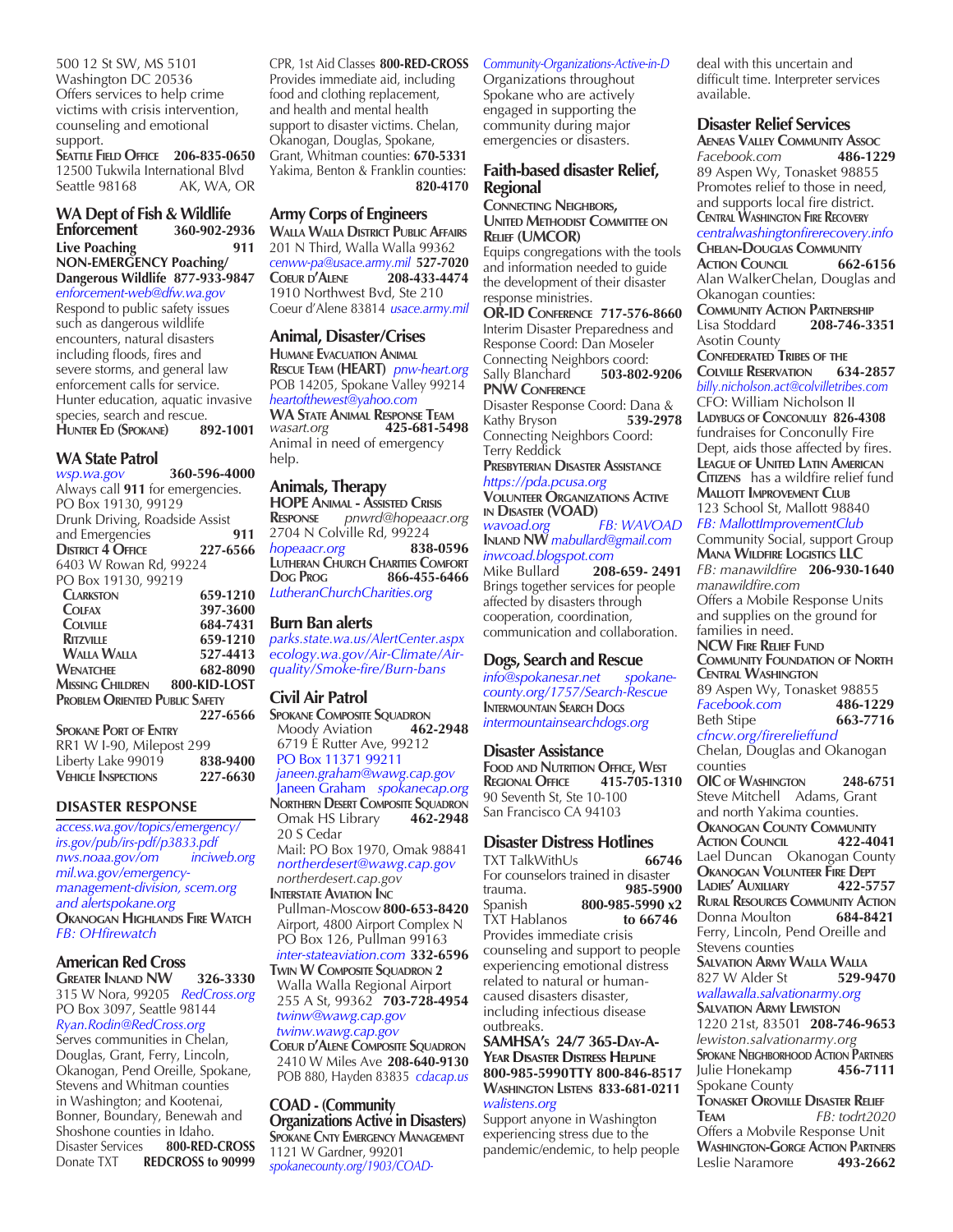500 12 St SW, MS 5101 Washington DC 20536 Offers services to help crime victims with crisis intervention, counseling and emotional support.

**Seattle Field Office 206-835-0650** 12500 Tukwila International Blvd<br>Seattle 98168 AK, WA, O AK, WA, OR

#### **WA Dept of Fish & Wildlife Enforcement 360-902-2936 Live Poaching 911 NON-EMERGENCY Poaching/ Dangerous Wildlife 877-933-9847**  *enforcement-web@dfw.wa.gov*

Respond to public safety issues such as dangerous wildlife encounters, natural disasters including floods, fires and severe storms, and general law enforcement calls for service. Hunter education, aquatic invasive species, search and rescue.<br>HUNTER ED (SPOKANE) 892-1001 **HUNTER ED (SPOKANE)** 

#### **WA State Patrol**

*wsp.wa.gov* **360-596-4000** Always call **911** for emergencies. PO Box 19130, 99129 Drunk Driving, Roadside Assist and Emergencies **911 District 4 Office 227-6566** 6403 W Rowan Rd, 99224 PO Box 19130, 99219<br>CLARKSTON  **Clarkston 659-1210 Colfax 397-3600 Colville 684-7431 Ritzville 659-1210 Walla Walla 527-4413 Wenatchee 682-8090 Missing Children 800-KID-LOST Problem Oriented Public Safety 227-6566** 

**Spokane Port of Entry** RR1 W I-90, Milepost 299<br>Liberty Lake 99019 838-9400 Liberty Lake 99019 **838-9400 VEHICLE INSPECTIONS** 

#### **DISASTER RESPONSE**

*access.wa.gov/topics/emergency/ irs.gov/pub/irs-pdf/p3833.pdf nws.noaa.gov/om inciweb.org mil.wa.gov/emergencymanagement-division, scem.org and alertspokane.org* **Okanogan Highlands Fire Watch** *FB: OHfirewatch*

# **American Red Cross**

**Greater Inland NW 326-3330** 315 W Nora, 99205 *RedCross.org* PO Box 3097, Seattle 98144 *Ryan.Rodin@RedCross.org*  Serves communities in Chelan, Douglas, Grant, Ferry, Lincoln, Okanogan, Pend Oreille, Spokane, Stevens and Whitman counties in Washington; and Kootenai, Bonner, Boundary, Benewah and Shoshone counties in Idaho.<br>Disaster Services 800-RED 800-RED-CROSS Donate TXT REDCROSS to 90999 CPR, 1st Aid Classes **800-RED-CROSS** Provides immediate aid, including food and clothing replacement, and health and mental health support to disaster victims. Chelan, Okanogan, Douglas, Spokane, Grant, Whitman counties: **670-5331**  Yakima, Benton & Franklin counties: **820-4170**

# **Army Corps of Engineers**

**Walla Walla District Public Affairs** 201 N Third, Walla Walla 99362 *cenww-pa@usace.army.mil* **527-7020 Coeur d'Alene 208-433-4474** 1910 Northwest Bvd, Ste 210 Coeur d'Alene 83814 *usace.army.mil*

## **Animal, Disaster/Crises**

**Humane Evacuation Animal Rescue Team (HEART)** *pnw-heart.org* POB 14205, Spokane Valley 99214 *heartofthewest@yahoo.com* **WA State Animal Response Team** *wasart.org* **425-681-5498** Animal in need of emergency help.

### **Animals, Therapy**

**HOPE ANIMAL - Assisted Crisis**<br>**RESPONSE** *pnwrd@hopeaaci* **Response** *pnwrd@hopeaacr.org* 2704 N Colville Rd, 99224<br> **hopeaacr.org** 838-0596 *hopeaacr.org* **Lutheran Church Charities Comfort Dog Prog 866-455-6466**  *LutheranChurchCharities.org*

## **Burn Ban alerts**

*parks.state.wa.us/AlertCenter.aspx ecology.wa.gov/Air-Climate/Airquality/Smoke-fire/Burn-bans*

# **Civil Air Patrol**

**SPOKANE COMPOSITE SQUADRON**<br>Moody Aviation **462-2948 Moody Aviation**  6719 E Rutter Ave, 99212 PO Box 11371 99211  *janeen.graham@wawg.cap.gov* Janeen Graham *spokanecap.org*  **NORTHERN DESERT COMPOSITE SQUADRON**<br>
Omak HS Library **462-2948 Omak HS Library**  20 S Cedar Mail: PO Box 1970, Omak 98841  *northerdesert@wawg.cap.gov northerdesert.cap.gov* **INTERSTATE AVIATION INC**  Pullman-Moscow**800-653-8420** Airport, 4800 Airport Complex N PO Box 126, Pullman 99163  *inter-stateaviation.com* **332-6596 Twin W Composite Squadron 2** Walla Walla Regional Airport 255 A St, 99362 **703-728-4954**  *twinw@wawg.cap.gov twinw.wawg.cap.gov*

**Coeur d'Alene Composite Squadron** 2410 W Miles Ave **208-640-9130** POB 880, Hayden 83835 *cdacap.us*

#### **COAD - (Community Organizations Active in Disasters)**

**Spokane Cnty Emergency Management** 1121 W Gardner, 99201 *spokanecounty.org/1903/COAD-*

#### *Community-Organizations-Active-in-D*

Organizations throughout Spokane who are actively engaged in supporting the community during major emergencies or disasters.

# **Faith-based disaster Relief, Regional**

**Connecting Neighbors, United Methodist Committee on Relief (UMCOR)**

Equips congregations with the tools and information needed to guide the development of their disaster response ministries.

**OR-ID Conference 717-576-8660** Interim Disaster Preparedness and Response Coord: Dan Moseler Connecting Neighbors coord:<br>
Sally Blanchard
503-802-9206 **Sally Blanchard PNW Conference** Disaster Response Coord: Dana &<br>Kathy Bryson 539-2978 Kathy Bryson Connecting Neighbors Coord: Terry Reddick **Presbyterian Disaster Assistance** *https://pda.pcusa.org* **Volunteer Organizations Active in Disaster (VOAD)**  *wavoad.org FB: WAVOAD* **Inland NW** *mabullard@gmail.com inwcoad.blogspot.com*

Mike Bullard **208-659- 2491**  Brings together services for people affected by disasters through cooperation, coordination, communication and collaboration.

# **Dogs, Search and Rescue**<br>info@spokanesar.net spokane-

 $info@spokanesar.net$ *county.org/1757/Search-Rescue* **INTERMOUNTAIN SEARCH DOGS** *intermountainsearchdogs.org*

### **Disaster Assistance**

**Food and Nutrition Office, West REGIONAL OFFICE** 90 Seventh St, Ste 10-100 San Francisco CA 94103

# **Disaster Distress Hotlines**<br>TXT TalkWithUs 66746

**TXT TalkWithUs** For counselors trained in disaster<br>trauma. 985-590 trauma. **985-5900** Spanish **800-985-5990 x2** TXT Hablanos **to 66746**  Provides immediate crisis counseling and support to people experiencing emotional distress related to natural or humancaused disasters disaster, including infectious disease outbreaks.

#### **SAMHSA's 24/7 365-Day-A-Year Disaster Distress Helpline 800-985-5990TTY 800-846-8517 Washington Listens 833-681-0211** *walistens.org*

Support anyone in Washington experiencing stress due to the pandemic/endemic, to help people deal with this uncertain and difficult time. Interpreter services available.

## **Disaster Relief Services**

**Aeneas Valley Community Assoc**  $Facebook.com$ 89 Aspen Wy, Tonasket 98855 Promotes relief to those in need, and supports local fire district. **Central Washington Fire Recovery** *centralwashingtonfirerecovery.info* **Chelan-Douglas Community ACTION COUNCIL** Alan WalkerChelan, Douglas and Okanogan counties: **COMMUNITY ACTION PARTNERSHIP**<br>Lisa Stoddard **208-746-3** Lisa Stoddard **208-746-3351** Asotin County **Confederated Tribes of the Colville Reservation 634-2857** *billy.nicholson.act@colvilletribes.com*  CFO: William Nicholson II **Ladybugs of Conconully 826-4308** fundraises for Conconully Fire Dept, aids those affected by fires. **League of United Latin American CITIZENS** has a wildfire relief fund **Mallott Improvement Club** 123 School St, Mallott 98840 *FB: MallottImprovementClub* Community Social, support Group **Mana Wildfire Logistics LLC** *FB: manawildfire* **206-930-1640** *manawildfire.com* Offers a Mobile Response Units and supplies on the ground for families in need. **NCW Fire Relief Fund Community Foundation of North Central Washington** 89 Aspen Wy, Tonasket 98855 *Facebook.com* **486-1229 Beth Stipe** *cfncw.org/firerelieffund*  Chelan, Douglas and Okanogan counties **OIC of Washington 248-6751** Steve Mitchell Adams, Grant and north Yakima counties. **Okanogan County Community ACTION COUNCIL** Lael Duncan Okanogan County **Okanogan Volunteer Fire Dept LADIES' AUXILIARY Rural Resources Community Action Donna Moulton** Ferry, Lincoln, Pend Oreille and Stevens counties **SALVATION ARMY WALLA WALLA**<br>827 W Alder St **529-9470** 827 W Alder St *wallawalla.salvationarmy.org* **Salvation Army Lewiston** 1220 21st, 83501 **208-746-9653** *lewiston.salvationarmy.org* **Spokane Neighborhood Action Partners** Julie Honekamp **456-7111** Spokane County **Tonasket Oroville Disaster Relief Team** *FB: todrt2020* Offers a Mobvile Response Unit **WASHINGTON-GORGE ACTION PARTNERS**<br>Leslie Naramore **493-2662** Leslie Naramore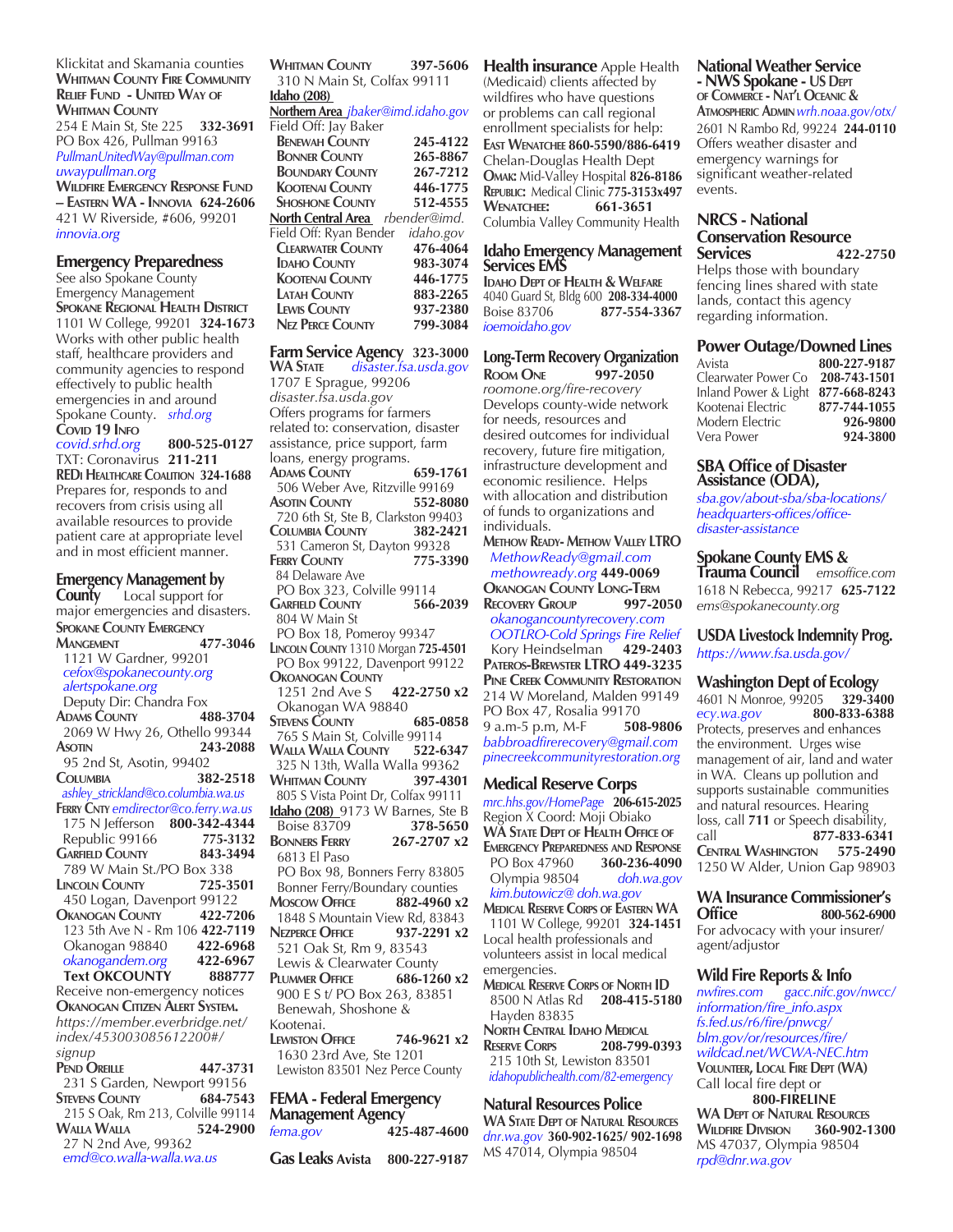#### Klickitat and Skamania counties **Whitman County Fire Community Relief Fund - United Way of Whitman County**

254 E Main St, Ste 225 **332-3691** PO Box 426, Pullman 99163 *PullmanUnitedWay@pullman.com uwaypullman.org* 

**Wildfire Emergency Response Fund – Eastern WA - Innovia 624-2606** 421 W Riverside, #606, 99201 *innovia.org*

#### **Emergency Preparedness**

See also Spokane County Emergency Management **Spokane Regional Health District** 1101 W College, 99201 **324-1673** Works with other public health staff, healthcare providers and community agencies to respond effectively to public health emergencies in and around Spokane County. *srhd.org*

**Covid 19 Info** *covid.srhd.org* **800-525-0127**  TXT: Coronavirus **211-211 REDi Healthcare Coalition 324-1688** Prepares for, responds to and recovers from crisis using all available resources to provide patient care at appropriate level and in most efficient manner.

**Emergency Management by**<br>**County** Local support for Local support for major emergencies and disasters. **Spokane County Emergency Mangement 477-3046** 1121 W Gardner, 99201 *cefox@spokanecounty.org alertspokane.org*  Deputy Dir: Chandra Fox **Adams County 488-3704** 2069 W Hwy 26, Othello 99344 **Asotin 243-2088** 95 2nd St, Asotin, 99402 **Columbia 382-2518**  *ashley\_strickland@co.columbia.wa.us* **Ferry Cnty** *emdirector@co.ferry.wa.us* 175 N Jefferson **800-342-4344** Republic 99166 **775-3132 Garfield County 843-3494 789 W Main St./PO Box 338**<br>**INCOLN COUNTY 725-3501 Lincoln County 725-3501** 450 Logan, Davenport 99122 **Okanogan County 422-7206**  123 5th Ave N - Rm 106 **422-7119** Okanogan 98840 **422-6968**  *okanogandem.org* **422-6967 Text OKCOUNTY 888777** Receive non-emergency notices **Okanogan Citizen Alert System.** *https://member.everbridge.net/ index/453003085612200#/ signup* **Pend Oreille 447-3731** 231 S Garden, Newport 99156 **Stevens County 684-7543** 215 S Oak, Rm 213, Colville 99114 **Walla Walla 524-2900** 27 N 2nd Ave, 99362

 *emd@co.walla-walla.wa.us*

**Whitman County 397-5606** 310 N Main St, Colfax 99111 **Idaho (208)** 

**Northern Area** *jbaker@imd.idaho.gov* Field Off: Jay Baker  **BENEWAH COUNTY** 245-4122<br>**BONNER COUNTY 265-8867 Bonner County 265-8867 BOUNDARY COUNTY Kootenai County 446-1775 Shoshone County 512-4555 North Central Area** *rbender@imd.* Field Off: Ryan Bender *idaho.gov* **CLEARWATER COUNTY** 476-4064<br>**IDAHO COUNTY** 983-3074  **IDAHO COUNTY** 983-3074<br> **KOOTENAL COUNTY** 446-1775  **Kootenai County 446-1775 LATAH COUNTY** 883-2265<br> **LEWIS COUNTY** 937-2380 **LEWIS COUNTY** 937-2380<br> **NEZ PERCE COUNTY** 799-3084

# **Farm Service Agency 323-3000**

**NEZ PERCE COUNTY** 

**WA State** *disaster.fsa.usda.gov* 1707 E Sprague, 99206 *disaster.fsa.usda.gov* Offers programs for farmers related to: conservation, disaster assistance, price support, farm loans, energy programs. **Adams County 659-1761** 506 Weber Ave, Ritzville 99169 **ASOTIN** COUNTY 720 6th St, Ste B, Clarkston 99403 **Columbia County 382-2421** 531 Cameron St, Dayton 99328 **Ferry County 775-3390** 84 Delaware Ave PO Box 323, Colville 99114 **GARFIELD COUNTY**  804 W Main St PO Box 18, Pomeroy 99347 **Lincoln County** 1310 Morgan **725-4501** PO Box 99122, Davenport 99122 **Okoanogan County** 1251 2nd Ave S **422-2750 x2** Okanogan WA 98840 **Stevens County 685-0858** 765 S Main St, Colville 99114 **Walla Walla County 522-6347** 325 N 13th, Walla Walla 99362 **Whitman County 397-4301** 805 S Vista Point Dr, Colfax 99111 **Idaho (208)** 9173 W Barnes, Ste B<br>Boise 83709 **378-5650 Boise 83709 378-5650**<br>**BONNERS FERRY 267-2707 x2 BONNERS FERRY**  6813 El Paso PO Box 98, Bonners Ferry 83805 Bonner Ferry/Boundary counties **Moscow Office 882-4960 x2** 1848 S Mountain View Rd, 83843<br>**NEZPERCE OFFICE** 937-2291 x2 **NEZPERCE OFFICE**  521 Oak St, Rm 9, 83543 Lewis & Clearwater County **Plummer Office 686-1260 x2** 900 E S t/ PO Box 263, 83851 Benewah, Shoshone & Kootenai. **Lewiston Office 746-9621 x2** 1630 23rd Ave, Ste 1201 Lewiston 83501 Nez Perce County **FEMA - Federal Emergency Management Agency**

*fema.gov* **425-487-4600 Gas Leaks Avista 800-227-9187**

**Health insurance** Apple Health (Medicaid) clients affected by wildfires who have questions or problems can call regional enrollment specialists for help: **East Wenatchee 860-5590/886-6419** Chelan-Douglas Health Dept **Omak:** Mid-Valley Hospital **826-8186 Republic:** Medical Clinic **775-3153x497 Wenatchee: 661-3651** Columbia Valley Community Health

# **Idaho Emergency Management Services EMS**

**Idaho Dept of Health & Welfare** 4040 Guard St, Bldg 600 **208-334-4000** Boise 83706 **877-554-3367** *ioemoidaho.gov*

## **Long-Term Recovery Organization Room One 997-2050**

*roomone.org/fire-recovery* Develops county-wide network for needs, resources and desired outcomes for individual recovery, future fire mitigation, infrastructure development and economic resilience. Helps with allocation and distribution of funds to organizations and individuals.

**Methow Ready- Methow Valley LTRO** *MethowReady@gmail.com methowready.org* **449-0069 Okanogan County Long-Term Recovery Group 997-2050** *okanogancountyrecovery.com*

 *OOTLRO-Cold Springs Fire Relief* Kory Heindselman **429-2403 Pateros-Brewster LTRO 449-3235 Pine Creek Community Restoration** 214 W Moreland, Malden 99149 PO Box 47, Rosalia 99170<br>9 a.m-5 p.m, M-F 508-9806 9 a.m-5 p.m, M-F *babbroadfirerecovery@gmail.com pinecreekcommunityrestoration.org*

### **Medical Reserve Corps**

*mrc.hhs.gov/HomePage* **206-615-2025** Region X Coord: Moji Obiako **WA State Dept of Health Office of Emergency Preparedness and Response PO Box 47960**  Olympia 98504 *doh.wa.gov kim.butowicz@ doh.wa.gov* **Medical Reserve Corps of Eastern WA**  1101 W College, 99201 **324-1451** Local health professionals and volunteers assist in local medical emergencies. **Medical Reserve Corps of North ID** 8500 N Atlas Rd **208-415-5180** Hayden 83835 **North Central Idaho Medical Reserve Corps 208-799-0393** 215 10th St, Lewiston 83501  *idahopublichealth.com/82-emergency*

### **Natural Resources Police**

**WA State Dept of Natural Resources** *dnr.wa.gov* **360-902-1625/ 902-1698** MS 47014, Olympia 98504

**National Weather Service - NWS Spokane - US Dept of Commerce - Nat'l Oceanic & Atmospheric Admin***wrh.noaa.gov/otx/*  2601 N Rambo Rd, 99224 **244-0110** Offers weather disaster and

emergency warnings for significant weather-related events.

# **NRCS - National Conservation Resource**

**Services 422-2750** Helps those with boundary fencing lines shared with state lands, contact this agency regarding information.

#### **Power Outage/Downed Lines**

| Avista               | 800-227-9187 |
|----------------------|--------------|
| Clearwater Power Co  | 208-743-1501 |
| Inland Power & Light | 877-668-8243 |
| Kootenai Electric    | 877-744-1055 |
| Modern Electric      | 926-9800     |
| Vera Power           | 924-3800     |

#### **SBA Office of Disaster Assistance (ODA),**

*sba.gov/about-sba/sba-locations/ headquarters-offices/officedisaster-assistance*

## **Spokane County EMS &**

**Trauma Council** *emsoffice.com* 1618 N Rebecca, 99217 **625-7122** *ems@spokanecounty.org* 

**USDA Livestock Indemnity Prog.** *https://www.fsa.usda.gov/*

### **Washington Dept of Ecology**

4601 N Monroe, 99205 **329-3400** *ecy.wa.gov* **800-833-6388**  Protects, preserves and enhances the environment. Urges wise management of air, land and water in WA. Cleans up pollution and supports sustainable communities and natural resources. Hearing loss, call **711** or Speech disability, call **877-833-6341 Central Washington 575-2490** 1250 W Alder, Union Gap 98903

#### **WA Insurance Commissioner's Office 800-562-6900**

For advocacy with your insurer/ agent/adjustor

#### **Wild Fire Reports & Info**

*nwfires.com gacc.nifc.gov/nwcc/ information/fire\_info.aspx fs.fed.us/r6/fire/pnwcg/ blm.gov/or/resources/fire/ wildcad.net/WCWA-NEC.htm* **Volunteer, Local Fire Dept (WA)** Call local fire dept or

**800-FIRELINE**

**WA Dept of Natural Resources WILDFIRE DIVISION** MS 47037, Olympia 98504 *rpd@dnr.wa.gov*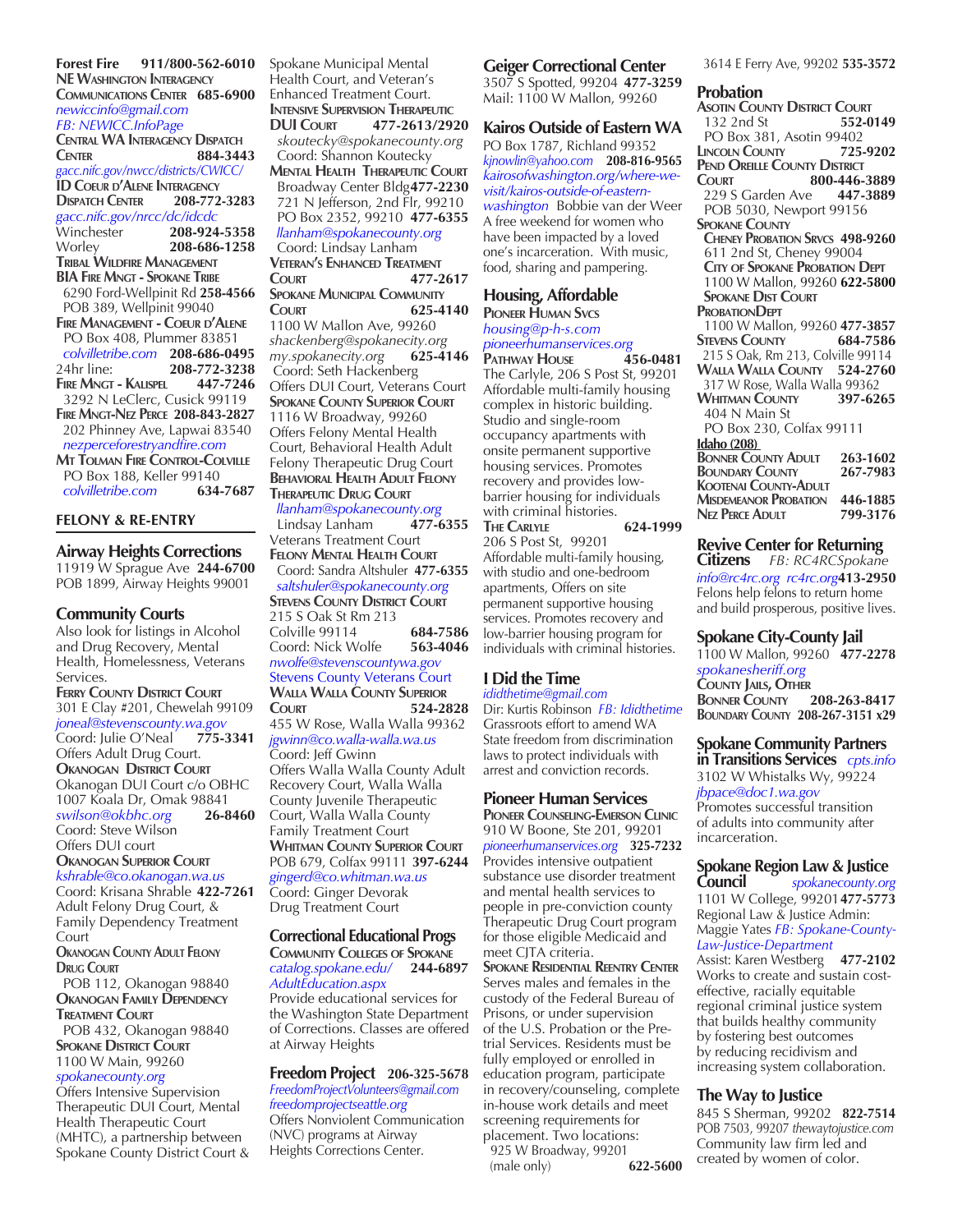**Forest Fire 911/800-562-6010 NE Washington Interagency Communications Center 685-6900** *newiccinfo@gmail.com FB: NEWICC.InfoPage* **CENTRAL WA INTERAGENCY DISPATCH**<br>CENTER 884-344 **Center 884-3443** *gacc.nifc.gov/nwcc/districts/CWICC/* **ID Coeur d'Alene Interagency Dispatch Center 208-772-3283** *gacc.nifc.gov/nrcc/dc/idcdc* Winchester **208-924-5358** Worley **208-686-1258 Tribal Wildfire Management BIA Fire Mngt - Spokane Tribe** 6290 Ford-Wellpinit Rd **258-4566** POB 389, Wellpinit 99040 **Fire Management - Coeur d'Alene** PO Box 408, Plummer 83851  *colvilletribe.com* **208-686-0495** 24hr line: **208-772-3238 FIRE MNGT - KALISPEL**  3292 N LeClerc, Cusick 99119 **Fire Mngt-Nez Perce 208-843-2827** 202 Phinney Ave, Lapwai 83540  *nezperceforestryandfire.com* **Mt Tolman Fire Control-Colville** PO Box 188, Keller 99140  *colvilletribe.com* **634-7687**

#### **FELONY & RE-ENTRY**

# **Airway Heights Corrections**

11919 W Sprague Ave **244-6700** POB 1899, Airway Heights 99001

#### **Community Courts**

Also look for listings in Alcohol and Drug Recovery, Mental Health, Homelessness, Veterans Services. **Ferry County District Court** 301 E Clay #201, Chewelah 99109 *joneal@stevenscounty.wa.gov*  Coord: Julie O'Neal **775-3341** Offers Adult Drug Court. **Okanogan District Court** Okanogan DUI Court c/o OBHC 1007 Koala Dr, Omak 98841 *swilson@okbhc.org* **26-8460** Coord: Steve Wilson Offers DUI court **Okanogan Superior Court** *kshrable@co.okanogan.wa.us* Coord: Krisana Shrable **422-7261** Adult Felony Drug Court, & Family Dependency Treatment **Court Okanogan County Adult Felony Drug Court** POB 112, Okanogan 98840 **Okanogan Family Dependency Treatment Court** POB 432, Okanogan 98840 **SPOKANE DISTRICT COURT** 1100 W Main, 99260 *spokanecounty.org* Offers Intensive Supervision

Therapeutic DUI Court, Mental Health Therapeutic Court (MHTC), a partnership between Spokane County District Court & Spokane Municipal Mental Health Court, and Veteran's Enhanced Treatment Court. **INTENSIVE SUPERVISION THERAPEUTIC DUI Court 477-2613/2920**  *skoutecky@spokanecounty.org*  Coord: Shannon Koutecky **Mental Health Therapeutic Court** Broadway Center Bldg**477-2230** 721 N Jefferson, 2nd Flr, 99210 PO Box 2352, 99210 **477-6355**   *llanham@spokanecounty.org* 

# Coord: Lindsay Lanham **Veteran's Enhanced Treatment**

**Court 477-2617 Spokane Municipal Community Court 625-4140** 1100 W Mallon Ave, 99260 *shackenberg@spokanecity.org*   $my.spokanecity.org$ Coord: Seth Hackenberg Offers DUI Court, Veterans Court **Spokane County Superior Court** 1116 W Broadway, 99260 Offers Felony Mental Health Court, Behavioral Health Adult Felony Therapeutic Drug Court **Behavioral Health Adult Felony Therapeutic Drug Court**  *llanham@spokanecounty.org* 

 Lindsay Lanham **477-6355** Veterans Treatment Court **Felony Mental Health Court** Coord: Sandra Altshuler **477-6355**  *saltshuler@spokanecounty.org*  **Stevens County District Court** 215 S Oak St Rm 213 Colville 99114 **684-7586** Coord: Nick Wolfe **563-4046** *nwolfe@stevenscountywa.gov*  Stevens County Veterans Court **Walla Walla County Superior Court 524-2828**  455 W Rose, Walla Walla 99362 *jgwinn@co.walla-walla.wa.us* Coord: Jeff Gwinn Offers Walla Walla County Adult Recovery Court, Walla Walla County Juvenile Therapeutic Court, Walla Walla County Family Treatment Court **Whitman County Superior Court** POB 679, Colfax 99111 **397-6244** *gingerd@co.whitman.wa.us*  Coord: Ginger Devorak Drug Treatment Court

#### **Correctional Educational Progs**

**Community Colleges of Spokane** *catalog.spokane.edu/* **244-6897** *AdultEducation.aspx*

Provide educational services for the Washington State Department of Corrections. Classes are offered at Airway Heights

#### **Freedom Project 206-325-5678**

*FreedomProjectVolunteers@gmail.com freedomprojectseattle.org*  Offers Nonviolent Communication (NVC) programs at Airway Heights Corrections Center.

# **Geiger Correctional Center**

3507 S Spotted, 99204 **477-3259** Mail: 1100 W Mallon, 99260

#### **Kairos Outside of Eastern WA**

PO Box 1787, Richland 99352 *kjnowlin@yahoo.com* **208-816-9565** *kairosofwashington.org/where-wevisit/kairos-outside-of-easternwashington* Bobbie van der Weer A free weekend for women who have been impacted by a loved one's incarceration. With music, food, sharing and pampering.

#### **Housing, Affordable**

**Pioneer Human Svcs** *housing@p-h-s.com pioneerhumanservices.org* **Pathway House 456-0481** The Carlyle, 206 S Post St, 99201 Affordable multi-family housing complex in historic building. Studio and single-room occupancy apartments with onsite permanent supportive housing services. Promotes recovery and provides lowbarrier housing for individuals with criminal histories. **The Carlyle 624-1999** 206 S Post St, 99201 Affordable multi-family housing, with studio and one-bedroom apartments, Offers on site permanent supportive housing services. Promotes recovery and low-barrier housing program for individuals with criminal histories.

#### **I Did the Time** *ididthetime@gmail.com*

Dir: Kurtis Robinson *FB: Ididthetime* Grassroots effort to amend WA State freedom from discrimination laws to protect individuals with arrest and conviction records.

### **Pioneer Human Services**

**Pioneer Counseling-Emerson Clinic** 910 W Boone, Ste 201, 99201 *pioneerhumanservices.org* **325-7232** Provides intensive outpatient substance use disorder treatment and mental health services to people in pre-conviction county Therapeutic Drug Court program for those eligible Medicaid and meet CJTA criteria.

**Spokane Residential Reentry Center** Serves males and females in the custody of the Federal Bureau of Prisons, or under supervision of the U.S. Probation or the Pretrial Services. Residents must be fully employed or enrolled in education program, participate in recovery/counseling, complete in-house work details and meet screening requirements for placement. Two locations: 925 W Broadway, 99201<br>(male only) 622-5600

(male only)

#### 3614 E Ferry Ave, 99202 **535-3572**

#### **Probation**

**Asotin County District Court** 132 2nd St **552-0149** PO Box 381, Asotin 99402 **Lincoln County 725-9202 PEND OREILLE COUNTY DISTRICT**<br>COURT 800-446-**Cole 300-446-3889**<br>2 447-3889 **229 S Garden Ave**  POB 5030, Newport 99156 **Spokane County Cheney Probation Srvcs 498-9260** 611 2nd St, Cheney 99004  **City of Spokane Probation Dept** 1100 W Mallon, 99260 **622-5800 SPOKANE DIST COURT ProbationDept**  1100 W Mallon, 99260 **477-3857 STEVENS COUNTY**  215 S Oak, Rm 213, Colville 99114 **Walla Walla County 524-2760** 317 W Rose, Walla Walla 99362 **Whitman County 397-6265** 404 N Main St PO Box 230, Colfax 99111 **Idaho (208) BONNER COUNTY ADULT** 263-1602<br>**BOUNDARY COUNTY** 267-7983 **BOUNDARY** COUNTY **Kootenai County-Adult Misdemeanor Probation 446-1885**

**Nez Perce Adult 799-3176 Revive Center for Returning Citizens** *FB: RC4RCSpokane info@rc4rc.org rc4rc.org***413-2950**

Felons help felons to return home and build prosperous, positive lives.

**Spokane City-County Jail** 1100 W Mallon, 99260 **477-2278** *spokanesheriff.org* **COUNTY JAILS, OTHER<br>BONNER COUNTY 208-263-8417 BONNER COUNTY Boundary County 208-267-3151 x29**

# **Spokane Community Partners**

**in Transitions Services** *cpts.info* 3102 W Whistalks Wy, 99224 *jbpace@doc1.wa.gov* Promotes successful transition of adults into community after incarceration.

#### **Spokane Region Law & Justice Council** *spokanecounty.org*

1101 W College, 99201**477-5773** Regional Law & Justice Admin: Maggie Yates *FB: Spokane-County-Law-Justice-Department* Assist: Karen Westberg **477-2102**

Works to create and sustain costeffective, racially equitable regional criminal justice system that builds healthy community by fostering best outcomes by reducing recidivism and increasing system collaboration.

#### **The Way to Justice**

845 S Sherman, 99202 **822-7514** POB 7503, 99207 *thewaytojustice.com* Community law firm led and created by women of color.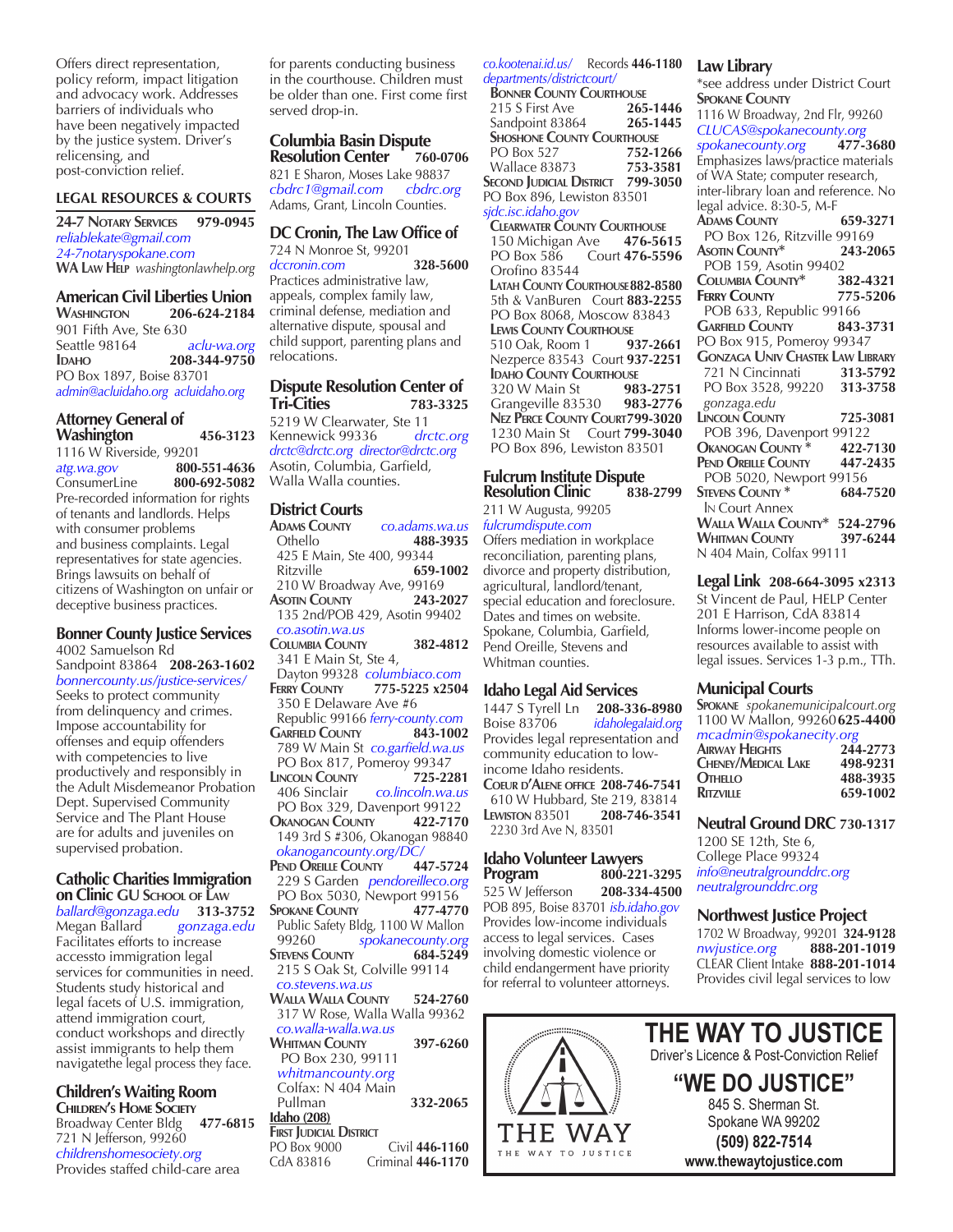Offers direct representation, policy reform, impact litigation and advocacy work. Addresses barriers of individuals who have been negatively impacted by the justice system. Driver's relicensing, and post-conviction relief.

#### **LEGAL RESOURCES & COURTS**

**24-7 Notary Services 979-0945** *reliablekate@gmail.com 24-7notaryspokane.com* **WA Law Help** *washingtonlawhelp.org*

#### **American Civil Liberties Union**

**Washington 206-624-2184** 901 Fifth Ave, Ste 630 Seattle 98164 *aclu-wa.org* **Idaho 208-344-9750** PO Box 1897, Boise 83701 *admin@acluidaho.org acluidaho.org*

#### **Attorney General of Washington 456-3123**

1116 W Riverside, 99201 *atg.wa.gov* **800-551-4636** ConsumerLine **800-692-5082** Pre-recorded information for rights of tenants and landlords. Helps with consumer problems and business complaints. Legal representatives for state agencies. Brings lawsuits on behalf of citizens of Washington on unfair or deceptive business practices.

#### **Bonner County Justice Services** 4002 Samuelson Rd

Sandpoint 83864 **208-263-1602** *bonnercounty.us/justice-services/* Seeks to protect community from delinquency and crimes. Impose accountability for offenses and equip offenders with competencies to live productively and responsibly in the Adult Misdemeanor Probation Dept. Supervised Community Service and The Plant House are for adults and juveniles on supervised probation.

# **Catholic Charities Immigration**

**on Clinic GU S**chool of LAW<br>
ballard@gonzaga.edu 313-3752 *ballard@gonzaga.edu* **313-3752**  Megan Ballard *gonzaga.edu* Facilitates efforts to increase accessto immigration legal services for communities in need. Students study historical and legal facets of U.S. immigration, attend immigration court, conduct workshops and directly assist immigrants to help them navigatethe legal process they face.

# **Children's Waiting Room**

**CHILDREN'S HOME SOCIETY**<br>Broadway Center Bldg 477-6815 Broadway Center Bldg **477-6815** 721 N Jefferson, 99260 *childrenshomesociety.org* Provides staffed child-care area

for parents conducting business in the courthouse. Children must be older than one. First come first served drop-in.

# **Columbia Basin Dispute Resolution Center**

821 E Sharon, Moses Lake 98837 *cbdrc1@gmail.com cbdrc.org* Adams, Grant, Lincoln Counties.

#### **DC Cronin, The Law Office of** 724 N Monroe St, 99201

*dccronin.com* **328-5600** Practices administrative law, appeals, complex family law, criminal defense, mediation and alternative dispute, spousal and child support, parenting plans and relocations.

# **Dispute Resolution Center of**

**Tri-Cities 783-3325** 5219 W Clearwater, Ste 11<br>Kennewick 99336 drctc.org Kennewick 99336 *drctc@drctc.org director@drctc.org*  Asotin, Columbia, Garfield, Walla Walla counties.

### **District Courts**

**Adams County** *co.adams.wa.us* Othello **488-3935** 425 E Main, Ste 400, 99344<br>Ritzville 659 Ritzville **659-1002** 210 W Broadway Ave, 99169<br>**ASOTIN COUNTY 243-2027 ASOTIN** COUNTY 135 2nd/POB 429, Asotin 99402  *co.asotin.wa.us* **Columbia County 382-4812** 341 E Main St, Ste 4, Dayton 99328 *columbiaco.com* **Ferry County 775-5225 x2504** 350 E Delaware Ave #6 Republic 99166 *ferry-county.com* **Garfield County 843-1002** 789 W Main St *co.garfield.wa.us* PO Box 817, Pomeroy 99347<br>
INCOLN COUNTY 725-2281 **LINCOLN COUNTY**<br>406 Sinclair 406 Sinclair *co.lincoln.wa.us* PO Box 329, Davenport 99122<br>DKANOGAN COUNTY 422-7170 **OKANOGAN COUNTY**  149 3rd S #306, Okanogan 98840  *okanogancounty.org/DC/* **Pend Oreille County 447-5724** 229 S Garden *pendoreilleco.org* PO Box 5030, Newport 99156 **Spokane County 477-4770** Public Safety Bldg, 1100 W Mallon 99260 *spokanecounty.org* **Stevens County 684-5249** 215 S Oak St, Colville 99114  *co.stevens.wa.us* **Walla Walla County 524-2760** 317 W Rose, Walla Walla 99362  *co.walla-walla.wa.us* **Whitman County 397-6260** PO Box 230, 99111  *whitmancounty.org* Colfax: N 404 Main Pullman **332-2065 Idaho (208)**

#### **FIRST JUDICIAL DISTRICT**<br>PO Box 9000 Civil 446-1160 CdA 83816 Criminal **446-1170**

*co.kootenai.id.us/* Records **446-1180** *departments/districtcourt/*

**BONNER COUNTY COURTHOUSE**<br>215 S First Ave **265-1446** 215 S First Ave Sandpoint 83864 **265-1445 SHOSHONE COUNTY COURTHOUSE**<br> **PO Box 527 752-1266 PO Box 527**  Wallace 83873 **753-3581 SECOND JUDICIAL DISTRICT 799-3050** PO Box 896, Lewiston 83501 *sjdc.isc.idaho.gov*

**CLEARWATER COUNTY COURTHOUSE**<br>150 Michigan Ave **476-5615** 150 Michigan Ave<br>**PO Box 586** Co Court **476-5596**  Orofino 83544  **Latah County Courthouse882-8580** 5th & VanBuren Court **883-2255** PO Box 8068, Moscow 83843  **Lewis County Courthouse** 510 Oak, Room 1 **937-2661** Nezperce 83543 Court **937-2251 Idaho County Courthouse** 320 W Main St **983-2751** Grangeville 83530  **Nez Perce County Court799-3020** 1230 Main St Court **799-3040** PO Box 896, Lewiston 83501

# **Fulcrum Institute Dispute Resolution Clinic 838-2799**

211 W Augusta, 99205 *fulcrumdispute.com*

Offers mediation in workplace reconciliation, parenting plans, divorce and property distribution, agricultural, landlord/tenant, special education and foreclosure. Dates and times on website. Spokane, Columbia, Garfield, Pend Oreille, Stevens and Whitman counties.

## **Idaho Legal Aid Services**

1447 S Tyrell Ln **208-336-8980** Boise 83706 *idaholegalaid.org* Provides legal representation and community education to lowincome Idaho residents. **Coeur d'Alene office 208-746-7541** 610 W Hubbard, Ste 219, 83814 **Lewiston** 83501 **208-746-3541** 2230 3rd Ave N, 83501

#### **Idaho Volunteer Lawyers Program 800-221-3295**  525 W Jefferson **208-334-4500**

POB 895, Boise 83701 *isb.idaho.gov* Provides low-income individuals access to legal services. Cases involving domestic violence or child endangerment have priority for referral to volunteer attorneys.

## **Law Library**

\*see address under District Court **Spokane County** 1116 W Broadway, 2nd Flr, 99260 *CLUCAS@spokanecounty.org spokanecounty.org* **477-3680** Emphasizes laws/practice materials of WA State; computer research, inter-library loan and reference. No legal advice. 8:30-5, M-F **Adams County 659-3271** PO Box 126, Ritzville 99169 **Asotin County\* 243-2065** POB 159, Asotin 99402<br>COLUMBIA COUNTY\* 382-4321 **Columbia County\* 382-4321 Ferry County 775-5206** POB 633, Republic 99166 **Garfield County 843-3731** PO Box 915, Pomeroy 99347 **Gonzaga Univ Chastek Law Library** 721 N Cincinnati **313-5792** PO Box 3528, 99220 **313-3758**  *gonzaga.edu*  **Lincoln County 725-3081** POB 396, Davenport 99122 **Okanogan County \* 422-7130 Pend Oreille County 447-2435**  POB 5020, Newport 99156 **Stevens County \* 684-7520** In Court Annex

**Walla Walla County\* 524-2796 Whitman County 397-6244** N 404 Main, Colfax 99111

## **Legal Link 208-664-3095 x2313**

St Vincent de Paul, HELP Center 201 E Harrison, CdA 83814 Informs lower-income people on resources available to assist with legal issues. Services 1-3 p.m., TTh.

### **Municipal Courts**

**Spokane** *spokanemunicipalcourt.org*  1100 W Mallon, 99260**625-4400** *mcadmin@spokanecity.org*

| 244-2773 |
|----------|
| 498-9231 |
| 488-3935 |
| 659-1002 |
|          |

# **Neutral Ground DRC 730-1317**

1200 SE 12th, Ste 6, College Place 99324 *info@neutralgrounddrc.org neutralgrounddrc.org*

# **Northwest Justice Project**

1702 W Broadway, 99201 **324-9128** *nwjustice.org* **888-201-1019** CLEAR Client Intake **888-201-1014** Provides civil legal services to low